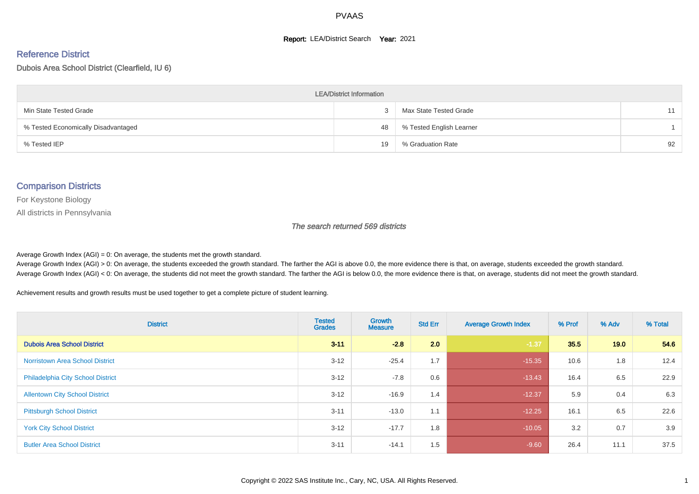#### **Report: LEA/District Search Year: 2021**

# Reference District

Dubois Area School District (Clearfield, IU 6)

| <b>LEA/District Information</b>     |    |                          |    |  |  |  |  |  |  |
|-------------------------------------|----|--------------------------|----|--|--|--|--|--|--|
| Min State Tested Grade              |    | Max State Tested Grade   | 11 |  |  |  |  |  |  |
| % Tested Economically Disadvantaged | 48 | % Tested English Learner |    |  |  |  |  |  |  |
| % Tested IEP                        | 19 | % Graduation Rate        | 92 |  |  |  |  |  |  |

#### Comparison Districts

For Keystone Biology

All districts in Pennsylvania

The search returned 569 districts

Average Growth Index  $(AGI) = 0$ : On average, the students met the growth standard.

Average Growth Index (AGI) > 0: On average, the students exceeded the growth standard. The farther the AGI is above 0.0, the more evidence there is that, on average, students exceeded the growth standard. Average Growth Index (AGI) < 0: On average, the students did not meet the growth standard. The farther the AGI is below 0.0, the more evidence there is that, on average, students did not meet the growth standard.

Achievement results and growth results must be used together to get a complete picture of student learning.

| <b>District</b>                          | <b>Tested</b><br><b>Grades</b> | <b>Growth</b><br><b>Measure</b> | <b>Std Err</b> | <b>Average Growth Index</b> | % Prof | % Adv | % Total |
|------------------------------------------|--------------------------------|---------------------------------|----------------|-----------------------------|--------|-------|---------|
| <b>Dubois Area School District</b>       | $3 - 11$                       | $-2.8$                          | 2.0            | $-1.37$                     | 35.5   | 19.0  | 54.6    |
| <b>Norristown Area School District</b>   | $3 - 12$                       | $-25.4$                         | 1.7            | $-15.35$                    | 10.6   | 1.8   | 12.4    |
| <b>Philadelphia City School District</b> | $3 - 12$                       | $-7.8$                          | 0.6            | $-13.43$                    | 16.4   | 6.5   | 22.9    |
| <b>Allentown City School District</b>    | $3 - 12$                       | $-16.9$                         | 1.4            | $-12.37$                    | 5.9    | 0.4   | 6.3     |
| <b>Pittsburgh School District</b>        | $3 - 11$                       | $-13.0$                         | 1.1            | $-12.25$                    | 16.1   | 6.5   | 22.6    |
| <b>York City School District</b>         | $3 - 12$                       | $-17.7$                         | 1.8            | $-10.05$                    | 3.2    | 0.7   | 3.9     |
| <b>Butler Area School District</b>       | $3 - 11$                       | $-14.1$                         | 1.5            | $-9.60$                     | 26.4   | 11.1  | 37.5    |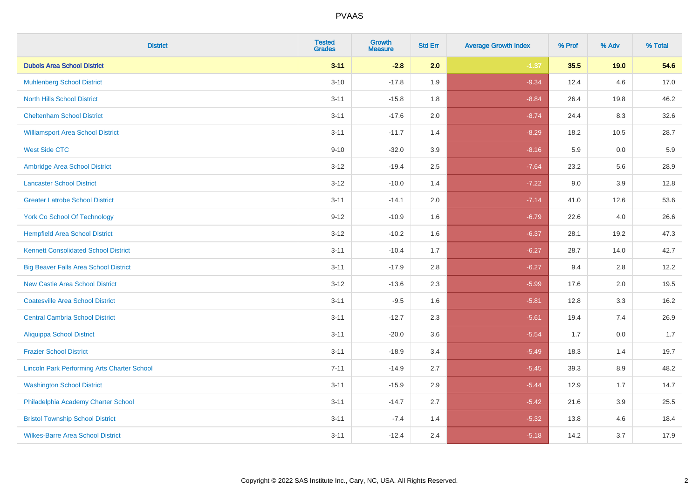| <b>District</b>                                    | <b>Tested</b><br><b>Grades</b> | Growth<br><b>Measure</b> | <b>Std Err</b> | <b>Average Growth Index</b> | % Prof | % Adv | % Total |
|----------------------------------------------------|--------------------------------|--------------------------|----------------|-----------------------------|--------|-------|---------|
| <b>Dubois Area School District</b>                 | $3 - 11$                       | $-2.8$                   | 2.0            | $-1.37$                     | 35.5   | 19.0  | 54.6    |
| <b>Muhlenberg School District</b>                  | $3 - 10$                       | $-17.8$                  | 1.9            | $-9.34$                     | 12.4   | 4.6   | 17.0    |
| <b>North Hills School District</b>                 | $3 - 11$                       | $-15.8$                  | 1.8            | $-8.84$                     | 26.4   | 19.8  | 46.2    |
| <b>Cheltenham School District</b>                  | $3 - 11$                       | $-17.6$                  | 2.0            | $-8.74$                     | 24.4   | 8.3   | 32.6    |
| <b>Williamsport Area School District</b>           | $3 - 11$                       | $-11.7$                  | 1.4            | $-8.29$                     | 18.2   | 10.5  | 28.7    |
| <b>West Side CTC</b>                               | $9 - 10$                       | $-32.0$                  | 3.9            | $-8.16$                     | 5.9    | 0.0   | 5.9     |
| Ambridge Area School District                      | $3 - 12$                       | $-19.4$                  | 2.5            | $-7.64$                     | 23.2   | 5.6   | 28.9    |
| <b>Lancaster School District</b>                   | $3 - 12$                       | $-10.0$                  | 1.4            | $-7.22$                     | 9.0    | 3.9   | 12.8    |
| <b>Greater Latrobe School District</b>             | $3 - 11$                       | $-14.1$                  | 2.0            | $-7.14$                     | 41.0   | 12.6  | 53.6    |
| <b>York Co School Of Technology</b>                | $9 - 12$                       | $-10.9$                  | 1.6            | $-6.79$                     | 22.6   | 4.0   | 26.6    |
| <b>Hempfield Area School District</b>              | $3 - 12$                       | $-10.2$                  | 1.6            | $-6.37$                     | 28.1   | 19.2  | 47.3    |
| <b>Kennett Consolidated School District</b>        | $3 - 11$                       | $-10.4$                  | 1.7            | $-6.27$                     | 28.7   | 14.0  | 42.7    |
| <b>Big Beaver Falls Area School District</b>       | $3 - 11$                       | $-17.9$                  | 2.8            | $-6.27$                     | 9.4    | 2.8   | 12.2    |
| <b>New Castle Area School District</b>             | $3 - 12$                       | $-13.6$                  | 2.3            | $-5.99$                     | 17.6   | 2.0   | 19.5    |
| <b>Coatesville Area School District</b>            | $3 - 11$                       | $-9.5$                   | 1.6            | $-5.81$                     | 12.8   | 3.3   | 16.2    |
| <b>Central Cambria School District</b>             | $3 - 11$                       | $-12.7$                  | 2.3            | $-5.61$                     | 19.4   | 7.4   | 26.9    |
| <b>Aliquippa School District</b>                   | $3 - 11$                       | $-20.0$                  | 3.6            | $-5.54$                     | 1.7    | 0.0   | 1.7     |
| <b>Frazier School District</b>                     | $3 - 11$                       | $-18.9$                  | 3.4            | $-5.49$                     | 18.3   | 1.4   | 19.7    |
| <b>Lincoln Park Performing Arts Charter School</b> | $7 - 11$                       | $-14.9$                  | 2.7            | $-5.45$                     | 39.3   | 8.9   | 48.2    |
| <b>Washington School District</b>                  | $3 - 11$                       | $-15.9$                  | 2.9            | $-5.44$                     | 12.9   | 1.7   | 14.7    |
| Philadelphia Academy Charter School                | $3 - 11$                       | $-14.7$                  | 2.7            | $-5.42$                     | 21.6   | 3.9   | 25.5    |
| <b>Bristol Township School District</b>            | $3 - 11$                       | $-7.4$                   | 1.4            | $-5.32$                     | 13.8   | 4.6   | 18.4    |
| <b>Wilkes-Barre Area School District</b>           | $3 - 11$                       | $-12.4$                  | 2.4            | $-5.18$                     | 14.2   | 3.7   | 17.9    |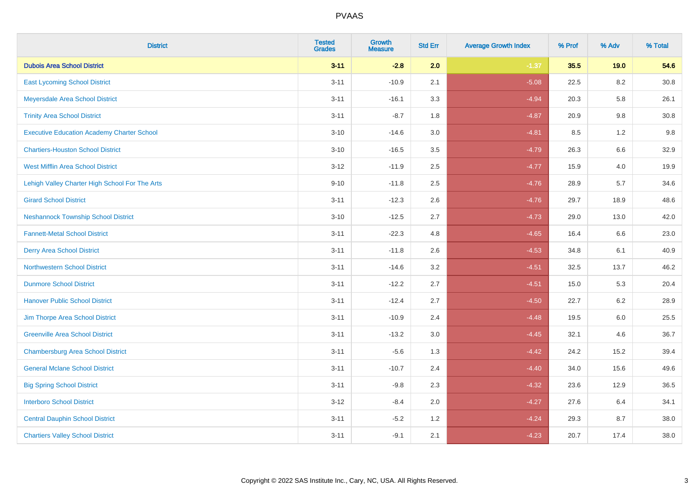| <b>District</b>                                   | <b>Tested</b><br><b>Grades</b> | <b>Growth</b><br><b>Measure</b> | <b>Std Err</b> | <b>Average Growth Index</b> | % Prof | % Adv   | % Total  |
|---------------------------------------------------|--------------------------------|---------------------------------|----------------|-----------------------------|--------|---------|----------|
| <b>Dubois Area School District</b>                | $3 - 11$                       | $-2.8$                          | 2.0            | $-1.37$                     | 35.5   | 19.0    | 54.6     |
| <b>East Lycoming School District</b>              | $3 - 11$                       | $-10.9$                         | 2.1            | $-5.08$                     | 22.5   | 8.2     | 30.8     |
| Meyersdale Area School District                   | $3 - 11$                       | $-16.1$                         | 3.3            | $-4.94$                     | 20.3   | 5.8     | 26.1     |
| <b>Trinity Area School District</b>               | $3 - 11$                       | $-8.7$                          | 1.8            | $-4.87$                     | 20.9   | $9.8\,$ | $30.8\,$ |
| <b>Executive Education Academy Charter School</b> | $3 - 10$                       | $-14.6$                         | 3.0            | $-4.81$                     | 8.5    | 1.2     | 9.8      |
| <b>Chartiers-Houston School District</b>          | $3 - 10$                       | $-16.5$                         | 3.5            | $-4.79$                     | 26.3   | $6.6\,$ | 32.9     |
| West Mifflin Area School District                 | $3 - 12$                       | $-11.9$                         | 2.5            | $-4.77$                     | 15.9   | 4.0     | 19.9     |
| Lehigh Valley Charter High School For The Arts    | $9 - 10$                       | $-11.8$                         | 2.5            | $-4.76$                     | 28.9   | 5.7     | 34.6     |
| <b>Girard School District</b>                     | $3 - 11$                       | $-12.3$                         | 2.6            | $-4.76$                     | 29.7   | 18.9    | 48.6     |
| <b>Neshannock Township School District</b>        | $3 - 10$                       | $-12.5$                         | 2.7            | $-4.73$                     | 29.0   | 13.0    | 42.0     |
| <b>Fannett-Metal School District</b>              | $3 - 11$                       | $-22.3$                         | 4.8            | $-4.65$                     | 16.4   | 6.6     | 23.0     |
| <b>Derry Area School District</b>                 | $3 - 11$                       | $-11.8$                         | 2.6            | $-4.53$                     | 34.8   | 6.1     | 40.9     |
| <b>Northwestern School District</b>               | $3 - 11$                       | $-14.6$                         | 3.2            | $-4.51$                     | 32.5   | 13.7    | 46.2     |
| <b>Dunmore School District</b>                    | $3 - 11$                       | $-12.2$                         | 2.7            | $-4.51$                     | 15.0   | 5.3     | 20.4     |
| <b>Hanover Public School District</b>             | $3 - 11$                       | $-12.4$                         | 2.7            | $-4.50$                     | 22.7   | 6.2     | 28.9     |
| Jim Thorpe Area School District                   | $3 - 11$                       | $-10.9$                         | 2.4            | $-4.48$                     | 19.5   | 6.0     | 25.5     |
| <b>Greenville Area School District</b>            | $3 - 11$                       | $-13.2$                         | 3.0            | $-4.45$                     | 32.1   | 4.6     | 36.7     |
| <b>Chambersburg Area School District</b>          | $3 - 11$                       | $-5.6$                          | 1.3            | $-4.42$                     | 24.2   | 15.2    | 39.4     |
| <b>General Mclane School District</b>             | $3 - 11$                       | $-10.7$                         | 2.4            | $-4.40$                     | 34.0   | 15.6    | 49.6     |
| <b>Big Spring School District</b>                 | $3 - 11$                       | $-9.8$                          | 2.3            | $-4.32$                     | 23.6   | 12.9    | 36.5     |
| <b>Interboro School District</b>                  | $3 - 12$                       | $-8.4$                          | 2.0            | $-4.27$                     | 27.6   | 6.4     | 34.1     |
| <b>Central Dauphin School District</b>            | $3 - 11$                       | $-5.2$                          | 1.2            | $-4.24$                     | 29.3   | 8.7     | 38.0     |
| <b>Chartiers Valley School District</b>           | $3 - 11$                       | $-9.1$                          | 2.1            | $-4.23$                     | 20.7   | 17.4    | 38.0     |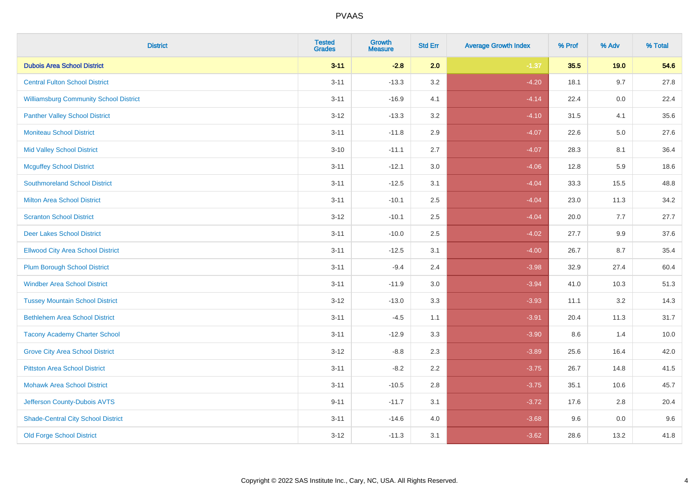| <b>District</b>                               | <b>Tested</b><br><b>Grades</b> | Growth<br><b>Measure</b> | <b>Std Err</b> | <b>Average Growth Index</b> | % Prof | % Adv | % Total |
|-----------------------------------------------|--------------------------------|--------------------------|----------------|-----------------------------|--------|-------|---------|
| <b>Dubois Area School District</b>            | $3 - 11$                       | $-2.8$                   | 2.0            | $-1.37$                     | 35.5   | 19.0  | 54.6    |
| <b>Central Fulton School District</b>         | $3 - 11$                       | $-13.3$                  | 3.2            | $-4.20$                     | 18.1   | 9.7   | 27.8    |
| <b>Williamsburg Community School District</b> | $3 - 11$                       | $-16.9$                  | 4.1            | $-4.14$                     | 22.4   | 0.0   | 22.4    |
| <b>Panther Valley School District</b>         | $3 - 12$                       | $-13.3$                  | 3.2            | $-4.10$                     | 31.5   | 4.1   | 35.6    |
| <b>Moniteau School District</b>               | $3 - 11$                       | $-11.8$                  | 2.9            | $-4.07$                     | 22.6   | 5.0   | 27.6    |
| <b>Mid Valley School District</b>             | $3 - 10$                       | $-11.1$                  | 2.7            | $-4.07$                     | 28.3   | 8.1   | 36.4    |
| <b>Mcguffey School District</b>               | $3 - 11$                       | $-12.1$                  | 3.0            | $-4.06$                     | 12.8   | 5.9   | 18.6    |
| <b>Southmoreland School District</b>          | $3 - 11$                       | $-12.5$                  | 3.1            | $-4.04$                     | 33.3   | 15.5  | 48.8    |
| <b>Milton Area School District</b>            | $3 - 11$                       | $-10.1$                  | 2.5            | $-4.04$                     | 23.0   | 11.3  | 34.2    |
| <b>Scranton School District</b>               | $3 - 12$                       | $-10.1$                  | 2.5            | $-4.04$                     | 20.0   | 7.7   | 27.7    |
| <b>Deer Lakes School District</b>             | $3 - 11$                       | $-10.0$                  | 2.5            | $-4.02$                     | 27.7   | 9.9   | 37.6    |
| <b>Ellwood City Area School District</b>      | $3 - 11$                       | $-12.5$                  | 3.1            | $-4.00$                     | 26.7   | 8.7   | 35.4    |
| <b>Plum Borough School District</b>           | $3 - 11$                       | $-9.4$                   | 2.4            | $-3.98$                     | 32.9   | 27.4  | 60.4    |
| <b>Windber Area School District</b>           | $3 - 11$                       | $-11.9$                  | 3.0            | $-3.94$                     | 41.0   | 10.3  | 51.3    |
| <b>Tussey Mountain School District</b>        | $3 - 12$                       | $-13.0$                  | 3.3            | $-3.93$                     | 11.1   | 3.2   | 14.3    |
| <b>Bethlehem Area School District</b>         | $3 - 11$                       | $-4.5$                   | 1.1            | $-3.91$                     | 20.4   | 11.3  | 31.7    |
| <b>Tacony Academy Charter School</b>          | $3 - 11$                       | $-12.9$                  | 3.3            | $-3.90$                     | 8.6    | 1.4   | 10.0    |
| <b>Grove City Area School District</b>        | $3-12$                         | $-8.8$                   | 2.3            | $-3.89$                     | 25.6   | 16.4  | 42.0    |
| <b>Pittston Area School District</b>          | $3 - 11$                       | $-8.2$                   | 2.2            | $-3.75$                     | 26.7   | 14.8  | 41.5    |
| <b>Mohawk Area School District</b>            | $3 - 11$                       | $-10.5$                  | 2.8            | $-3.75$                     | 35.1   | 10.6  | 45.7    |
| Jefferson County-Dubois AVTS                  | $9 - 11$                       | $-11.7$                  | 3.1            | $-3.72$                     | 17.6   | 2.8   | 20.4    |
| <b>Shade-Central City School District</b>     | $3 - 11$                       | $-14.6$                  | 4.0            | $-3.68$                     | 9.6    | 0.0   | 9.6     |
| <b>Old Forge School District</b>              | $3 - 12$                       | $-11.3$                  | 3.1            | $-3.62$                     | 28.6   | 13.2  | 41.8    |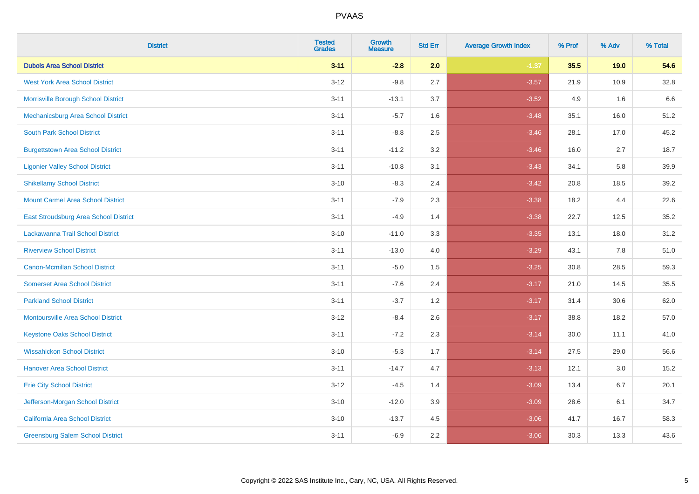| <b>District</b>                           | <b>Tested</b><br><b>Grades</b> | <b>Growth</b><br><b>Measure</b> | <b>Std Err</b> | <b>Average Growth Index</b> | % Prof | % Adv | % Total |
|-------------------------------------------|--------------------------------|---------------------------------|----------------|-----------------------------|--------|-------|---------|
| <b>Dubois Area School District</b>        | $3 - 11$                       | $-2.8$                          | 2.0            | $-1.37$                     | 35.5   | 19.0  | 54.6    |
| <b>West York Area School District</b>     | $3 - 12$                       | $-9.8$                          | 2.7            | $-3.57$                     | 21.9   | 10.9  | 32.8    |
| Morrisville Borough School District       | $3 - 11$                       | $-13.1$                         | 3.7            | $-3.52$                     | 4.9    | 1.6   | 6.6     |
| Mechanicsburg Area School District        | $3 - 11$                       | $-5.7$                          | 1.6            | $-3.48$                     | 35.1   | 16.0  | 51.2    |
| <b>South Park School District</b>         | $3 - 11$                       | $-8.8$                          | 2.5            | $-3.46$                     | 28.1   | 17.0  | 45.2    |
| <b>Burgettstown Area School District</b>  | $3 - 11$                       | $-11.2$                         | 3.2            | $-3.46$                     | 16.0   | 2.7   | 18.7    |
| <b>Ligonier Valley School District</b>    | $3 - 11$                       | $-10.8$                         | 3.1            | $-3.43$                     | 34.1   | 5.8   | 39.9    |
| <b>Shikellamy School District</b>         | $3 - 10$                       | $-8.3$                          | 2.4            | $-3.42$                     | 20.8   | 18.5  | 39.2    |
| <b>Mount Carmel Area School District</b>  | $3 - 11$                       | $-7.9$                          | 2.3            | $-3.38$                     | 18.2   | 4.4   | 22.6    |
| East Stroudsburg Area School District     | $3 - 11$                       | $-4.9$                          | 1.4            | $-3.38$                     | 22.7   | 12.5  | 35.2    |
| Lackawanna Trail School District          | $3 - 10$                       | $-11.0$                         | 3.3            | $-3.35$                     | 13.1   | 18.0  | 31.2    |
| <b>Riverview School District</b>          | $3 - 11$                       | $-13.0$                         | 4.0            | $-3.29$                     | 43.1   | 7.8   | 51.0    |
| Canon-Mcmillan School District            | $3 - 11$                       | $-5.0$                          | 1.5            | $-3.25$                     | 30.8   | 28.5  | 59.3    |
| <b>Somerset Area School District</b>      | $3 - 11$                       | $-7.6$                          | 2.4            | $-3.17$                     | 21.0   | 14.5  | 35.5    |
| <b>Parkland School District</b>           | $3 - 11$                       | $-3.7$                          | 1.2            | $-3.17$                     | 31.4   | 30.6  | 62.0    |
| <b>Montoursville Area School District</b> | $3 - 12$                       | $-8.4$                          | 2.6            | $-3.17$                     | 38.8   | 18.2  | 57.0    |
| <b>Keystone Oaks School District</b>      | $3 - 11$                       | $-7.2$                          | 2.3            | $-3.14$                     | 30.0   | 11.1  | 41.0    |
| <b>Wissahickon School District</b>        | $3 - 10$                       | $-5.3$                          | 1.7            | $-3.14$                     | 27.5   | 29.0  | 56.6    |
| <b>Hanover Area School District</b>       | $3 - 11$                       | $-14.7$                         | 4.7            | $-3.13$                     | 12.1   | 3.0   | 15.2    |
| <b>Erie City School District</b>          | $3 - 12$                       | $-4.5$                          | 1.4            | $-3.09$                     | 13.4   | 6.7   | 20.1    |
| Jefferson-Morgan School District          | $3 - 10$                       | $-12.0$                         | 3.9            | $-3.09$                     | 28.6   | 6.1   | 34.7    |
| California Area School District           | $3 - 10$                       | $-13.7$                         | 4.5            | $-3.06$                     | 41.7   | 16.7  | 58.3    |
| <b>Greensburg Salem School District</b>   | $3 - 11$                       | $-6.9$                          | 2.2            | $-3.06$                     | 30.3   | 13.3  | 43.6    |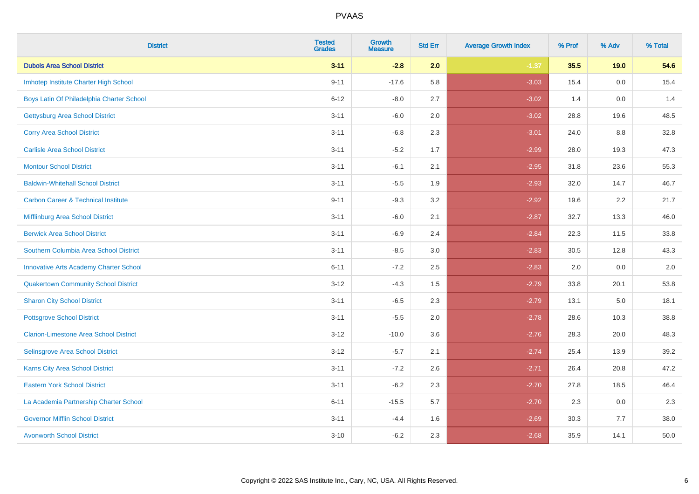| <b>District</b>                                | <b>Tested</b><br><b>Grades</b> | <b>Growth</b><br><b>Measure</b> | <b>Std Err</b> | <b>Average Growth Index</b> | % Prof | % Adv | % Total |
|------------------------------------------------|--------------------------------|---------------------------------|----------------|-----------------------------|--------|-------|---------|
| <b>Dubois Area School District</b>             | $3 - 11$                       | $-2.8$                          | 2.0            | $-1.37$                     | 35.5   | 19.0  | 54.6    |
| Imhotep Institute Charter High School          | $9 - 11$                       | $-17.6$                         | 5.8            | $-3.03$                     | 15.4   | 0.0   | 15.4    |
| Boys Latin Of Philadelphia Charter School      | $6 - 12$                       | $-8.0$                          | 2.7            | $-3.02$                     | 1.4    | 0.0   | 1.4     |
| <b>Gettysburg Area School District</b>         | $3 - 11$                       | $-6.0$                          | 2.0            | $-3.02$                     | 28.8   | 19.6  | 48.5    |
| <b>Corry Area School District</b>              | $3 - 11$                       | $-6.8$                          | 2.3            | $-3.01$                     | 24.0   | 8.8   | 32.8    |
| <b>Carlisle Area School District</b>           | $3 - 11$                       | $-5.2$                          | 1.7            | $-2.99$                     | 28.0   | 19.3  | 47.3    |
| <b>Montour School District</b>                 | $3 - 11$                       | $-6.1$                          | 2.1            | $-2.95$                     | 31.8   | 23.6  | 55.3    |
| <b>Baldwin-Whitehall School District</b>       | $3 - 11$                       | $-5.5$                          | 1.9            | $-2.93$                     | 32.0   | 14.7  | 46.7    |
| <b>Carbon Career &amp; Technical Institute</b> | $9 - 11$                       | $-9.3$                          | 3.2            | $-2.92$                     | 19.6   | 2.2   | 21.7    |
| Mifflinburg Area School District               | $3 - 11$                       | $-6.0$                          | 2.1            | $-2.87$                     | 32.7   | 13.3  | 46.0    |
| <b>Berwick Area School District</b>            | $3 - 11$                       | $-6.9$                          | 2.4            | $-2.84$                     | 22.3   | 11.5  | 33.8    |
| Southern Columbia Area School District         | $3 - 11$                       | $-8.5$                          | 3.0            | $-2.83$                     | 30.5   | 12.8  | 43.3    |
| <b>Innovative Arts Academy Charter School</b>  | $6 - 11$                       | $-7.2$                          | 2.5            | $-2.83$                     | 2.0    | 0.0   | 2.0     |
| <b>Quakertown Community School District</b>    | $3 - 12$                       | $-4.3$                          | 1.5            | $-2.79$                     | 33.8   | 20.1  | 53.8    |
| <b>Sharon City School District</b>             | $3 - 11$                       | $-6.5$                          | 2.3            | $-2.79$                     | 13.1   | 5.0   | 18.1    |
| <b>Pottsgrove School District</b>              | $3 - 11$                       | $-5.5$                          | 2.0            | $-2.78$                     | 28.6   | 10.3  | 38.8    |
| <b>Clarion-Limestone Area School District</b>  | $3 - 12$                       | $-10.0$                         | 3.6            | $-2.76$                     | 28.3   | 20.0  | 48.3    |
| Selinsgrove Area School District               | $3 - 12$                       | $-5.7$                          | 2.1            | $-2.74$                     | 25.4   | 13.9  | 39.2    |
| Karns City Area School District                | $3 - 11$                       | $-7.2$                          | 2.6            | $-2.71$                     | 26.4   | 20.8  | 47.2    |
| <b>Eastern York School District</b>            | $3 - 11$                       | $-6.2$                          | 2.3            | $-2.70$                     | 27.8   | 18.5  | 46.4    |
| La Academia Partnership Charter School         | $6 - 11$                       | $-15.5$                         | 5.7            | $-2.70$                     | 2.3    | 0.0   | 2.3     |
| <b>Governor Mifflin School District</b>        | $3 - 11$                       | $-4.4$                          | 1.6            | $-2.69$                     | 30.3   | 7.7   | 38.0    |
| <b>Avonworth School District</b>               | $3 - 10$                       | $-6.2$                          | 2.3            | $-2.68$                     | 35.9   | 14.1  | 50.0    |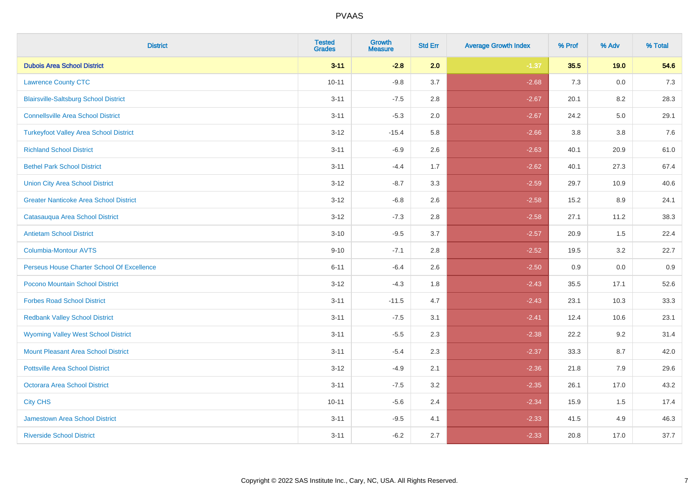| <b>District</b>                               | <b>Tested</b><br><b>Grades</b> | <b>Growth</b><br><b>Measure</b> | <b>Std Err</b> | <b>Average Growth Index</b> | % Prof | % Adv | % Total |
|-----------------------------------------------|--------------------------------|---------------------------------|----------------|-----------------------------|--------|-------|---------|
| <b>Dubois Area School District</b>            | $3 - 11$                       | $-2.8$                          | 2.0            | $-1.37$                     | 35.5   | 19.0  | 54.6    |
| <b>Lawrence County CTC</b>                    | $10 - 11$                      | $-9.8$                          | 3.7            | $-2.68$                     | 7.3    | 0.0   | $7.3$   |
| <b>Blairsville-Saltsburg School District</b>  | $3 - 11$                       | $-7.5$                          | 2.8            | $-2.67$                     | 20.1   | 8.2   | 28.3    |
| <b>Connellsville Area School District</b>     | $3 - 11$                       | $-5.3$                          | 2.0            | $-2.67$                     | 24.2   | 5.0   | 29.1    |
| <b>Turkeyfoot Valley Area School District</b> | $3 - 12$                       | $-15.4$                         | 5.8            | $-2.66$                     | 3.8    | 3.8   | 7.6     |
| <b>Richland School District</b>               | $3 - 11$                       | $-6.9$                          | 2.6            | $-2.63$                     | 40.1   | 20.9  | 61.0    |
| <b>Bethel Park School District</b>            | $3 - 11$                       | $-4.4$                          | 1.7            | $-2.62$                     | 40.1   | 27.3  | 67.4    |
| <b>Union City Area School District</b>        | $3 - 12$                       | $-8.7$                          | 3.3            | $-2.59$                     | 29.7   | 10.9  | 40.6    |
| <b>Greater Nanticoke Area School District</b> | $3 - 12$                       | $-6.8$                          | 2.6            | $-2.58$                     | 15.2   | 8.9   | 24.1    |
| Catasauqua Area School District               | $3 - 12$                       | $-7.3$                          | 2.8            | $-2.58$                     | 27.1   | 11.2  | 38.3    |
| <b>Antietam School District</b>               | $3 - 10$                       | $-9.5$                          | 3.7            | $-2.57$                     | 20.9   | 1.5   | 22.4    |
| Columbia-Montour AVTS                         | $9 - 10$                       | $-7.1$                          | 2.8            | $-2.52$                     | 19.5   | 3.2   | 22.7    |
| Perseus House Charter School Of Excellence    | $6 - 11$                       | $-6.4$                          | 2.6            | $-2.50$                     | 0.9    | 0.0   | 0.9     |
| Pocono Mountain School District               | $3 - 12$                       | $-4.3$                          | 1.8            | $-2.43$                     | 35.5   | 17.1  | 52.6    |
| <b>Forbes Road School District</b>            | $3 - 11$                       | $-11.5$                         | 4.7            | $-2.43$                     | 23.1   | 10.3  | 33.3    |
| <b>Redbank Valley School District</b>         | $3 - 11$                       | $-7.5$                          | 3.1            | $-2.41$                     | 12.4   | 10.6  | 23.1    |
| <b>Wyoming Valley West School District</b>    | $3 - 11$                       | $-5.5$                          | 2.3            | $-2.38$                     | 22.2   | 9.2   | 31.4    |
| Mount Pleasant Area School District           | $3 - 11$                       | $-5.4$                          | 2.3            | $-2.37$                     | 33.3   | 8.7   | 42.0    |
| <b>Pottsville Area School District</b>        | $3 - 12$                       | $-4.9$                          | 2.1            | $-2.36$                     | 21.8   | 7.9   | 29.6    |
| Octorara Area School District                 | $3 - 11$                       | $-7.5$                          | 3.2            | $-2.35$                     | 26.1   | 17.0  | 43.2    |
| <b>City CHS</b>                               | $10 - 11$                      | $-5.6$                          | 2.4            | $-2.34$                     | 15.9   | 1.5   | 17.4    |
| <b>Jamestown Area School District</b>         | $3 - 11$                       | $-9.5$                          | 4.1            | $-2.33$                     | 41.5   | 4.9   | 46.3    |
| <b>Riverside School District</b>              | $3 - 11$                       | $-6.2$                          | 2.7            | $-2.33$                     | 20.8   | 17.0  | 37.7    |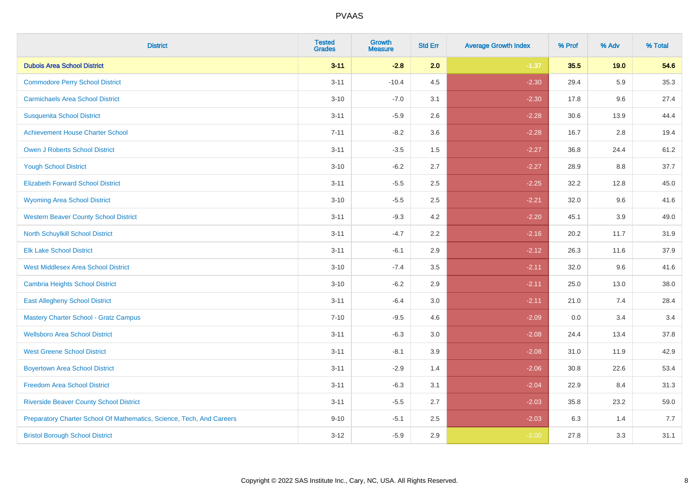| <b>District</b>                                                       | <b>Tested</b><br><b>Grades</b> | <b>Growth</b><br><b>Measure</b> | <b>Std Err</b> | <b>Average Growth Index</b> | % Prof | % Adv | % Total |
|-----------------------------------------------------------------------|--------------------------------|---------------------------------|----------------|-----------------------------|--------|-------|---------|
| <b>Dubois Area School District</b>                                    | $3 - 11$                       | $-2.8$                          | 2.0            | $-1.37$                     | 35.5   | 19.0  | 54.6    |
| <b>Commodore Perry School District</b>                                | $3 - 11$                       | $-10.4$                         | 4.5            | $-2.30$                     | 29.4   | 5.9   | 35.3    |
| <b>Carmichaels Area School District</b>                               | $3 - 10$                       | $-7.0$                          | 3.1            | $-2.30$                     | 17.8   | 9.6   | 27.4    |
| <b>Susquenita School District</b>                                     | $3 - 11$                       | $-5.9$                          | 2.6            | $-2.28$                     | 30.6   | 13.9  | 44.4    |
| <b>Achievement House Charter School</b>                               | $7 - 11$                       | $-8.2$                          | 3.6            | $-2.28$                     | 16.7   | 2.8   | 19.4    |
| <b>Owen J Roberts School District</b>                                 | $3 - 11$                       | $-3.5$                          | 1.5            | $-2.27$                     | 36.8   | 24.4  | 61.2    |
| <b>Yough School District</b>                                          | $3 - 10$                       | $-6.2$                          | 2.7            | $-2.27$                     | 28.9   | 8.8   | 37.7    |
| <b>Elizabeth Forward School District</b>                              | $3 - 11$                       | $-5.5$                          | 2.5            | $-2.25$                     | 32.2   | 12.8  | 45.0    |
| <b>Wyoming Area School District</b>                                   | $3 - 10$                       | $-5.5$                          | 2.5            | $-2.21$                     | 32.0   | 9.6   | 41.6    |
| <b>Western Beaver County School District</b>                          | $3 - 11$                       | $-9.3$                          | 4.2            | $-2.20$                     | 45.1   | 3.9   | 49.0    |
| North Schuylkill School District                                      | $3 - 11$                       | $-4.7$                          | 2.2            | $-2.16$                     | 20.2   | 11.7  | 31.9    |
| <b>Elk Lake School District</b>                                       | $3 - 11$                       | $-6.1$                          | 2.9            | $-2.12$                     | 26.3   | 11.6  | 37.9    |
| <b>West Middlesex Area School District</b>                            | $3 - 10$                       | $-7.4$                          | 3.5            | $-2.11$                     | 32.0   | 9.6   | 41.6    |
| <b>Cambria Heights School District</b>                                | $3 - 10$                       | $-6.2$                          | 2.9            | $-2.11$                     | 25.0   | 13.0  | 38.0    |
| <b>East Allegheny School District</b>                                 | $3 - 11$                       | $-6.4$                          | 3.0            | $-2.11$                     | 21.0   | 7.4   | 28.4    |
| <b>Mastery Charter School - Gratz Campus</b>                          | $7 - 10$                       | $-9.5$                          | 4.6            | $-2.09$                     | 0.0    | 3.4   | 3.4     |
| <b>Wellsboro Area School District</b>                                 | $3 - 11$                       | $-6.3$                          | 3.0            | $-2.08$                     | 24.4   | 13.4  | 37.8    |
| <b>West Greene School District</b>                                    | $3 - 11$                       | $-8.1$                          | 3.9            | $-2.08$                     | 31.0   | 11.9  | 42.9    |
| <b>Boyertown Area School District</b>                                 | $3 - 11$                       | $-2.9$                          | 1.4            | $-2.06$                     | 30.8   | 22.6  | 53.4    |
| <b>Freedom Area School District</b>                                   | $3 - 11$                       | $-6.3$                          | 3.1            | $-2.04$                     | 22.9   | 8.4   | 31.3    |
| <b>Riverside Beaver County School District</b>                        | $3 - 11$                       | $-5.5$                          | 2.7            | $-2.03$                     | 35.8   | 23.2  | 59.0    |
| Preparatory Charter School Of Mathematics, Science, Tech, And Careers | $9 - 10$                       | $-5.1$                          | 2.5            | $-2.03$                     | 6.3    | 1.4   | 7.7     |
| <b>Bristol Borough School District</b>                                | $3 - 12$                       | $-5.9$                          | 2.9            | $-2.00$                     | 27.8   | 3.3   | 31.1    |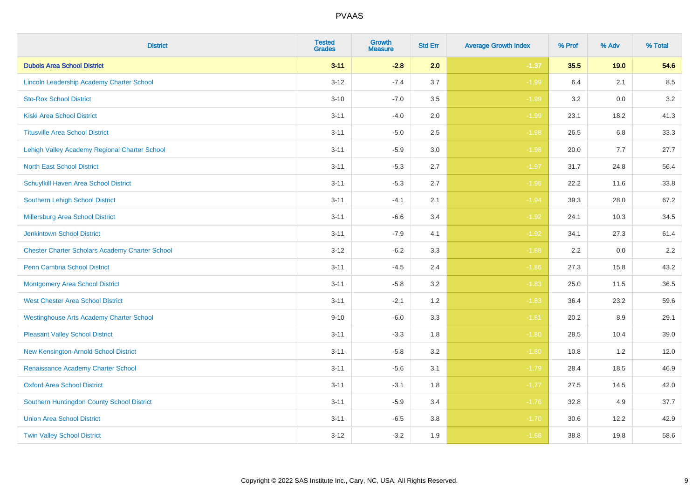| <b>District</b>                                        | <b>Tested</b><br><b>Grades</b> | Growth<br><b>Measure</b> | <b>Std Err</b> | <b>Average Growth Index</b> | % Prof | % Adv | % Total |
|--------------------------------------------------------|--------------------------------|--------------------------|----------------|-----------------------------|--------|-------|---------|
| <b>Dubois Area School District</b>                     | $3 - 11$                       | $-2.8$                   | 2.0            | $-1.37$                     | 35.5   | 19.0  | 54.6    |
| Lincoln Leadership Academy Charter School              | $3 - 12$                       | $-7.4$                   | 3.7            | $-1.99$                     | 6.4    | 2.1   | 8.5     |
| <b>Sto-Rox School District</b>                         | $3 - 10$                       | $-7.0$                   | 3.5            | $-1.99$                     | 3.2    | 0.0   | 3.2     |
| <b>Kiski Area School District</b>                      | $3 - 11$                       | $-4.0$                   | 2.0            | $-1.99$                     | 23.1   | 18.2  | 41.3    |
| <b>Titusville Area School District</b>                 | $3 - 11$                       | $-5.0$                   | 2.5            | $-1.98$                     | 26.5   | 6.8   | 33.3    |
| Lehigh Valley Academy Regional Charter School          | $3 - 11$                       | $-5.9$                   | 3.0            | $-1.98$                     | 20.0   | 7.7   | 27.7    |
| <b>North East School District</b>                      | $3 - 11$                       | $-5.3$                   | 2.7            | $-1.97$                     | 31.7   | 24.8  | 56.4    |
| Schuylkill Haven Area School District                  | $3 - 11$                       | $-5.3$                   | 2.7            | $-1.96$                     | 22.2   | 11.6  | 33.8    |
| <b>Southern Lehigh School District</b>                 | $3 - 11$                       | $-4.1$                   | 2.1            | $-1.94$                     | 39.3   | 28.0  | 67.2    |
| Millersburg Area School District                       | $3 - 11$                       | $-6.6$                   | 3.4            | $-1.92$                     | 24.1   | 10.3  | 34.5    |
| <b>Jenkintown School District</b>                      | $3 - 11$                       | $-7.9$                   | 4.1            | $-1.92$                     | 34.1   | 27.3  | 61.4    |
| <b>Chester Charter Scholars Academy Charter School</b> | $3 - 12$                       | $-6.2$                   | 3.3            | $-1.88$                     | 2.2    | 0.0   | 2.2     |
| Penn Cambria School District                           | $3 - 11$                       | $-4.5$                   | 2.4            | $-1.86$                     | 27.3   | 15.8  | 43.2    |
| <b>Montgomery Area School District</b>                 | $3 - 11$                       | $-5.8$                   | 3.2            | $-1.83$                     | 25.0   | 11.5  | 36.5    |
| <b>West Chester Area School District</b>               | $3 - 11$                       | $-2.1$                   | 1.2            | $-1.83$                     | 36.4   | 23.2  | 59.6    |
| <b>Westinghouse Arts Academy Charter School</b>        | $9 - 10$                       | $-6.0$                   | 3.3            | $-1.81$                     | 20.2   | 8.9   | 29.1    |
| <b>Pleasant Valley School District</b>                 | $3 - 11$                       | $-3.3$                   | 1.8            | $-1.80$                     | 28.5   | 10.4  | 39.0    |
| New Kensington-Arnold School District                  | $3 - 11$                       | $-5.8$                   | 3.2            | $-1.80$                     | 10.8   | 1.2   | 12.0    |
| Renaissance Academy Charter School                     | $3 - 11$                       | $-5.6$                   | 3.1            | $-1.79$                     | 28.4   | 18.5  | 46.9    |
| <b>Oxford Area School District</b>                     | $3 - 11$                       | $-3.1$                   | 1.8            | $-1.77$                     | 27.5   | 14.5  | 42.0    |
| Southern Huntingdon County School District             | $3 - 11$                       | $-5.9$                   | 3.4            | $-1.76$                     | 32.8   | 4.9   | 37.7    |
| <b>Union Area School District</b>                      | $3 - 11$                       | $-6.5$                   | 3.8            | $-1.70$                     | 30.6   | 12.2  | 42.9    |
| <b>Twin Valley School District</b>                     | $3 - 12$                       | $-3.2$                   | 1.9            | $-1.68$                     | 38.8   | 19.8  | 58.6    |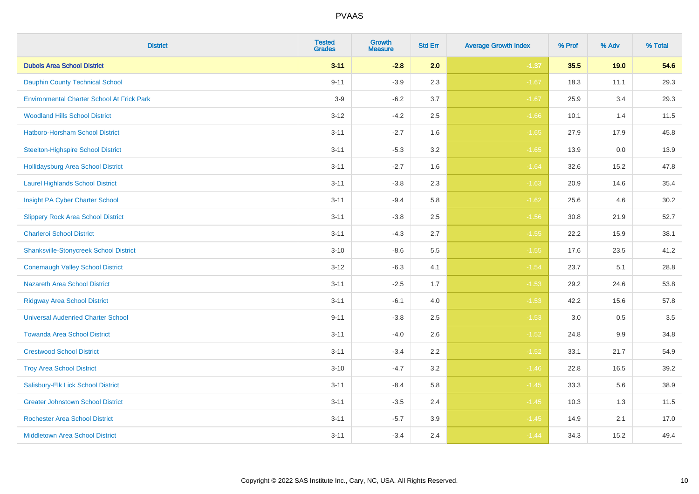| <b>District</b>                                   | <b>Tested</b><br><b>Grades</b> | <b>Growth</b><br><b>Measure</b> | <b>Std Err</b> | <b>Average Growth Index</b> | % Prof | % Adv | % Total |
|---------------------------------------------------|--------------------------------|---------------------------------|----------------|-----------------------------|--------|-------|---------|
| <b>Dubois Area School District</b>                | $3 - 11$                       | $-2.8$                          | 2.0            | $-1.37$                     | 35.5   | 19.0  | 54.6    |
| <b>Dauphin County Technical School</b>            | $9 - 11$                       | $-3.9$                          | 2.3            | $-1.67$                     | 18.3   | 11.1  | 29.3    |
| <b>Environmental Charter School At Frick Park</b> | $3-9$                          | $-6.2$                          | 3.7            | $-1.67$                     | 25.9   | 3.4   | 29.3    |
| <b>Woodland Hills School District</b>             | $3 - 12$                       | $-4.2$                          | 2.5            | $-1.66$                     | 10.1   | 1.4   | 11.5    |
| Hatboro-Horsham School District                   | $3 - 11$                       | $-2.7$                          | 1.6            | $-1.65$                     | 27.9   | 17.9  | 45.8    |
| <b>Steelton-Highspire School District</b>         | $3 - 11$                       | $-5.3$                          | 3.2            | $-1.65$                     | 13.9   | 0.0   | 13.9    |
| <b>Hollidaysburg Area School District</b>         | $3 - 11$                       | $-2.7$                          | 1.6            | $-1.64$                     | 32.6   | 15.2  | 47.8    |
| <b>Laurel Highlands School District</b>           | $3 - 11$                       | $-3.8$                          | 2.3            | $-1.63$                     | 20.9   | 14.6  | 35.4    |
| Insight PA Cyber Charter School                   | $3 - 11$                       | $-9.4$                          | 5.8            | $-1.62$                     | 25.6   | 4.6   | 30.2    |
| <b>Slippery Rock Area School District</b>         | $3 - 11$                       | $-3.8$                          | 2.5            | $-1.56$                     | 30.8   | 21.9  | 52.7    |
| <b>Charleroi School District</b>                  | $3 - 11$                       | $-4.3$                          | 2.7            | $-1.55$                     | 22.2   | 15.9  | 38.1    |
| <b>Shanksville-Stonycreek School District</b>     | $3 - 10$                       | $-8.6$                          | 5.5            | $-1.55$                     | 17.6   | 23.5  | 41.2    |
| <b>Conemaugh Valley School District</b>           | $3 - 12$                       | $-6.3$                          | 4.1            | $-1.54$                     | 23.7   | 5.1   | 28.8    |
| Nazareth Area School District                     | $3 - 11$                       | $-2.5$                          | 1.7            | $-1.53$                     | 29.2   | 24.6  | 53.8    |
| <b>Ridgway Area School District</b>               | $3 - 11$                       | $-6.1$                          | 4.0            | $-1.53$                     | 42.2   | 15.6  | 57.8    |
| <b>Universal Audenried Charter School</b>         | $9 - 11$                       | $-3.8$                          | 2.5            | $-1.53$                     | 3.0    | 0.5   | 3.5     |
| <b>Towanda Area School District</b>               | $3 - 11$                       | $-4.0$                          | 2.6            | $-1.52$                     | 24.8   | 9.9   | 34.8    |
| <b>Crestwood School District</b>                  | $3 - 11$                       | $-3.4$                          | 2.2            | $-1.52$                     | 33.1   | 21.7  | 54.9    |
| <b>Troy Area School District</b>                  | $3 - 10$                       | $-4.7$                          | 3.2            | $-1.46$                     | 22.8   | 16.5  | 39.2    |
| Salisbury-Elk Lick School District                | $3 - 11$                       | $-8.4$                          | 5.8            | $-1.45$                     | 33.3   | 5.6   | 38.9    |
| <b>Greater Johnstown School District</b>          | $3 - 11$                       | $-3.5$                          | 2.4            | $-1.45$                     | 10.3   | 1.3   | 11.5    |
| <b>Rochester Area School District</b>             | $3 - 11$                       | $-5.7$                          | 3.9            | $-1.45$                     | 14.9   | 2.1   | 17.0    |
| <b>Middletown Area School District</b>            | $3 - 11$                       | $-3.4$                          | 2.4            | $-1.44$                     | 34.3   | 15.2  | 49.4    |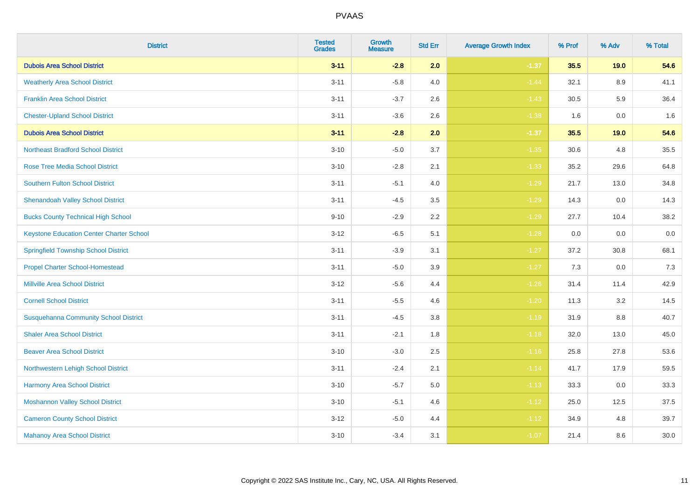| <b>District</b>                                 | <b>Tested</b><br><b>Grades</b> | Growth<br><b>Measure</b> | <b>Std Err</b> | <b>Average Growth Index</b> | % Prof | % Adv   | % Total |
|-------------------------------------------------|--------------------------------|--------------------------|----------------|-----------------------------|--------|---------|---------|
| <b>Dubois Area School District</b>              | $3 - 11$                       | $-2.8$                   | 2.0            | $-1.37$                     | 35.5   | 19.0    | 54.6    |
| <b>Weatherly Area School District</b>           | $3 - 11$                       | $-5.8$                   | 4.0            | $-1.44$                     | 32.1   | 8.9     | 41.1    |
| <b>Franklin Area School District</b>            | $3 - 11$                       | $-3.7$                   | 2.6            | $-1.43$                     | 30.5   | 5.9     | 36.4    |
| <b>Chester-Upland School District</b>           | $3 - 11$                       | $-3.6$                   | 2.6            | $-1.38$                     | 1.6    | $0.0\,$ | 1.6     |
| <b>Dubois Area School District</b>              | $3 - 11$                       | $-2.8$                   | 2.0            | $-1.37$                     | 35.5   | 19.0    | 54.6    |
| <b>Northeast Bradford School District</b>       | $3 - 10$                       | $-5.0$                   | 3.7            | $-1.35$                     | 30.6   | 4.8     | 35.5    |
| Rose Tree Media School District                 | $3 - 10$                       | $-2.8$                   | 2.1            | $-1.33$                     | 35.2   | 29.6    | 64.8    |
| <b>Southern Fulton School District</b>          | $3 - 11$                       | $-5.1$                   | 4.0            | $-1.29$                     | 21.7   | 13.0    | 34.8    |
| <b>Shenandoah Valley School District</b>        | $3 - 11$                       | $-4.5$                   | 3.5            | $-1.29$                     | 14.3   | 0.0     | 14.3    |
| <b>Bucks County Technical High School</b>       | $9 - 10$                       | $-2.9$                   | 2.2            | $-1.29$                     | 27.7   | 10.4    | 38.2    |
| <b>Keystone Education Center Charter School</b> | $3 - 12$                       | $-6.5$                   | 5.1            | $-1.28$                     | 0.0    | 0.0     | $0.0\,$ |
| <b>Springfield Township School District</b>     | $3 - 11$                       | $-3.9$                   | 3.1            | $-1.27$                     | 37.2   | 30.8    | 68.1    |
| <b>Propel Charter School-Homestead</b>          | $3 - 11$                       | $-5.0$                   | 3.9            | $-1.27$                     | 7.3    | 0.0     | 7.3     |
| <b>Millville Area School District</b>           | $3 - 12$                       | $-5.6$                   | 4.4            | $-1.26$                     | 31.4   | 11.4    | 42.9    |
| <b>Cornell School District</b>                  | $3 - 11$                       | $-5.5$                   | 4.6            | $-1.20$                     | 11.3   | 3.2     | 14.5    |
| <b>Susquehanna Community School District</b>    | $3 - 11$                       | $-4.5$                   | 3.8            | $-1.19$                     | 31.9   | 8.8     | 40.7    |
| <b>Shaler Area School District</b>              | $3 - 11$                       | $-2.1$                   | 1.8            | $-1.18$                     | 32.0   | 13.0    | 45.0    |
| <b>Beaver Area School District</b>              | $3 - 10$                       | $-3.0$                   | 2.5            | $-1.16$                     | 25.8   | 27.8    | 53.6    |
| Northwestern Lehigh School District             | $3 - 11$                       | $-2.4$                   | 2.1            | $-1.14$                     | 41.7   | 17.9    | 59.5    |
| Harmony Area School District                    | $3 - 10$                       | $-5.7$                   | 5.0            | $-1.13$                     | 33.3   | 0.0     | 33.3    |
| <b>Moshannon Valley School District</b>         | $3 - 10$                       | $-5.1$                   | 4.6            | $-1.12$                     | 25.0   | 12.5    | 37.5    |
| <b>Cameron County School District</b>           | $3 - 12$                       | $-5.0$                   | 4.4            | $-1.12$                     | 34.9   | 4.8     | 39.7    |
| <b>Mahanoy Area School District</b>             | $3 - 10$                       | $-3.4$                   | 3.1            | $-1.07$                     | 21.4   | 8.6     | 30.0    |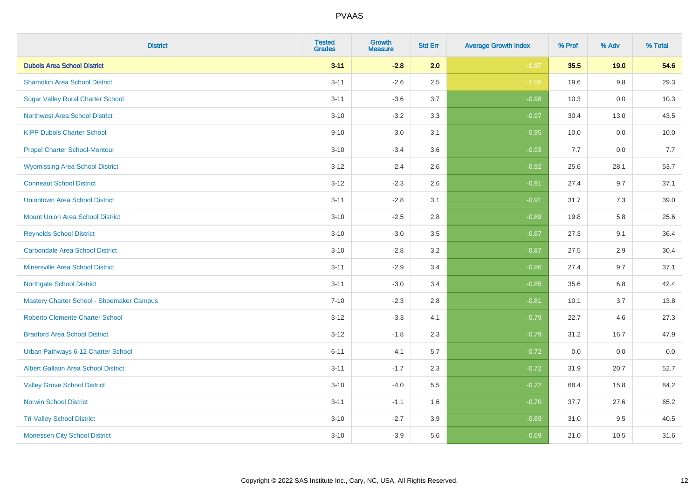| <b>District</b>                             | <b>Tested</b><br><b>Grades</b> | <b>Growth</b><br><b>Measure</b> | <b>Std Err</b> | <b>Average Growth Index</b> | % Prof | % Adv | % Total |
|---------------------------------------------|--------------------------------|---------------------------------|----------------|-----------------------------|--------|-------|---------|
| <b>Dubois Area School District</b>          | $3 - 11$                       | $-2.8$                          | 2.0            | $-1.37$                     | 35.5   | 19.0  | 54.6    |
| <b>Shamokin Area School District</b>        | $3 - 11$                       | $-2.6$                          | 2.5            | $-1.06$                     | 19.6   | 9.8   | 29.3    |
| <b>Sugar Valley Rural Charter School</b>    | $3 - 11$                       | $-3.6$                          | 3.7            | $-0.98$                     | 10.3   | 0.0   | 10.3    |
| <b>Northwest Area School District</b>       | $3 - 10$                       | $-3.2$                          | 3.3            | $-0.97$                     | 30.4   | 13.0  | 43.5    |
| <b>KIPP Dubois Charter School</b>           | $9 - 10$                       | $-3.0$                          | 3.1            | $-0.95$                     | 10.0   | 0.0   | 10.0    |
| <b>Propel Charter School-Montour</b>        | $3 - 10$                       | $-3.4$                          | 3.6            | $-0.93$                     | 7.7    | 0.0   | 7.7     |
| <b>Wyomissing Area School District</b>      | $3 - 12$                       | $-2.4$                          | 2.6            | $-0.92$                     | 25.6   | 28.1  | 53.7    |
| <b>Conneaut School District</b>             | $3 - 12$                       | $-2.3$                          | 2.6            | $-0.91$                     | 27.4   | 9.7   | 37.1    |
| <b>Uniontown Area School District</b>       | $3 - 11$                       | $-2.8$                          | 3.1            | $-0.91$                     | 31.7   | 7.3   | 39.0    |
| <b>Mount Union Area School District</b>     | $3 - 10$                       | $-2.5$                          | $2.8\,$        | $-0.89$                     | 19.8   | 5.8   | 25.6    |
| <b>Reynolds School District</b>             | $3 - 10$                       | $-3.0$                          | 3.5            | $-0.87$                     | 27.3   | 9.1   | 36.4    |
| <b>Carbondale Area School District</b>      | $3 - 10$                       | $-2.8$                          | 3.2            | $-0.87$                     | 27.5   | 2.9   | 30.4    |
| <b>Minersville Area School District</b>     | $3 - 11$                       | $-2.9$                          | 3.4            | $-0.86$                     | 27.4   | 9.7   | 37.1    |
| <b>Northgate School District</b>            | $3 - 11$                       | $-3.0$                          | 3.4            | $-0.85$                     | 35.6   | 6.8   | 42.4    |
| Mastery Charter School - Shoemaker Campus   | $7 - 10$                       | $-2.3$                          | 2.8            | $-0.81$                     | 10.1   | 3.7   | 13.8    |
| Roberto Clemente Charter School             | $3 - 12$                       | $-3.3$                          | 4.1            | $-0.79$                     | 22.7   | 4.6   | 27.3    |
| <b>Bradford Area School District</b>        | $3 - 12$                       | $-1.8$                          | 2.3            | $-0.79$                     | 31.2   | 16.7  | 47.9    |
| Urban Pathways 6-12 Charter School          | $6 - 11$                       | $-4.1$                          | 5.7            | $-0.72$                     | 0.0    | 0.0   | $0.0\,$ |
| <b>Albert Gallatin Area School District</b> | $3 - 11$                       | $-1.7$                          | 2.3            | $-0.72$                     | 31.9   | 20.7  | 52.7    |
| <b>Valley Grove School District</b>         | $3 - 10$                       | $-4.0$                          | 5.5            | $-0.72$                     | 68.4   | 15.8  | 84.2    |
| <b>Norwin School District</b>               | $3 - 11$                       | $-1.1$                          | 1.6            | $-0.70$                     | 37.7   | 27.6  | 65.2    |
| <b>Tri-Valley School District</b>           | $3 - 10$                       | $-2.7$                          | 3.9            | $-0.69$                     | 31.0   | 9.5   | 40.5    |
| <b>Monessen City School District</b>        | $3 - 10$                       | $-3.9$                          | 5.6            | $-0.69$                     | 21.0   | 10.5  | 31.6    |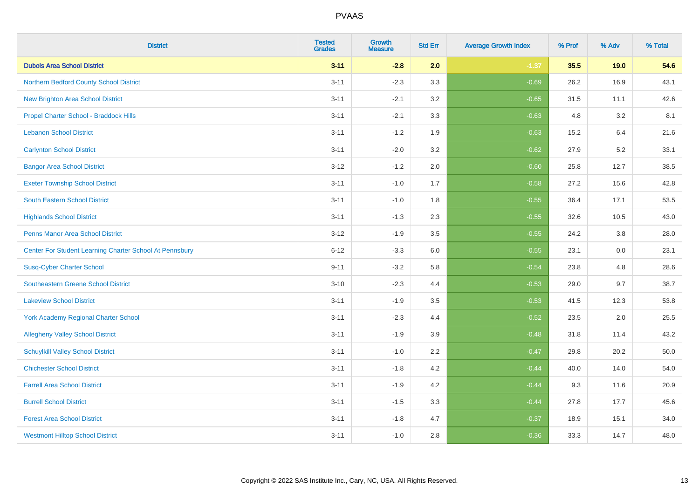| <b>District</b>                                         | <b>Tested</b><br><b>Grades</b> | <b>Growth</b><br><b>Measure</b> | <b>Std Err</b> | <b>Average Growth Index</b> | % Prof | % Adv | % Total |
|---------------------------------------------------------|--------------------------------|---------------------------------|----------------|-----------------------------|--------|-------|---------|
| <b>Dubois Area School District</b>                      | $3 - 11$                       | $-2.8$                          | 2.0            | $-1.37$                     | 35.5   | 19.0  | 54.6    |
| Northern Bedford County School District                 | $3 - 11$                       | $-2.3$                          | 3.3            | $-0.69$                     | 26.2   | 16.9  | 43.1    |
| <b>New Brighton Area School District</b>                | $3 - 11$                       | $-2.1$                          | 3.2            | $-0.65$                     | 31.5   | 11.1  | 42.6    |
| Propel Charter School - Braddock Hills                  | $3 - 11$                       | $-2.1$                          | 3.3            | $-0.63$                     | 4.8    | 3.2   | 8.1     |
| <b>Lebanon School District</b>                          | $3 - 11$                       | $-1.2$                          | 1.9            | $-0.63$                     | 15.2   | 6.4   | 21.6    |
| <b>Carlynton School District</b>                        | $3 - 11$                       | $-2.0$                          | 3.2            | $-0.62$                     | 27.9   | 5.2   | 33.1    |
| <b>Bangor Area School District</b>                      | $3 - 12$                       | $-1.2$                          | 2.0            | $-0.60$                     | 25.8   | 12.7  | 38.5    |
| <b>Exeter Township School District</b>                  | $3 - 11$                       | $-1.0$                          | 1.7            | $-0.58$                     | 27.2   | 15.6  | 42.8    |
| <b>South Eastern School District</b>                    | $3 - 11$                       | $-1.0$                          | 1.8            | $-0.55$                     | 36.4   | 17.1  | 53.5    |
| <b>Highlands School District</b>                        | $3 - 11$                       | $-1.3$                          | 2.3            | $-0.55$                     | 32.6   | 10.5  | 43.0    |
| <b>Penns Manor Area School District</b>                 | $3 - 12$                       | $-1.9$                          | 3.5            | $-0.55$                     | 24.2   | 3.8   | 28.0    |
| Center For Student Learning Charter School At Pennsbury | $6 - 12$                       | $-3.3$                          | 6.0            | $-0.55$                     | 23.1   | 0.0   | 23.1    |
| <b>Susq-Cyber Charter School</b>                        | $9 - 11$                       | $-3.2$                          | 5.8            | $-0.54$                     | 23.8   | 4.8   | 28.6    |
| Southeastern Greene School District                     | $3 - 10$                       | $-2.3$                          | 4.4            | $-0.53$                     | 29.0   | 9.7   | 38.7    |
| <b>Lakeview School District</b>                         | $3 - 11$                       | $-1.9$                          | 3.5            | $-0.53$                     | 41.5   | 12.3  | 53.8    |
| <b>York Academy Regional Charter School</b>             | $3 - 11$                       | $-2.3$                          | 4.4            | $-0.52$                     | 23.5   | 2.0   | 25.5    |
| <b>Allegheny Valley School District</b>                 | $3 - 11$                       | $-1.9$                          | 3.9            | $-0.48$                     | 31.8   | 11.4  | 43.2    |
| <b>Schuylkill Valley School District</b>                | $3 - 11$                       | $-1.0$                          | 2.2            | $-0.47$                     | 29.8   | 20.2  | 50.0    |
| <b>Chichester School District</b>                       | $3 - 11$                       | $-1.8$                          | 4.2            | $-0.44$                     | 40.0   | 14.0  | 54.0    |
| <b>Farrell Area School District</b>                     | $3 - 11$                       | $-1.9$                          | 4.2            | $-0.44$                     | 9.3    | 11.6  | 20.9    |
| <b>Burrell School District</b>                          | $3 - 11$                       | $-1.5$                          | 3.3            | $-0.44$                     | 27.8   | 17.7  | 45.6    |
| <b>Forest Area School District</b>                      | $3 - 11$                       | $-1.8$                          | 4.7            | $-0.37$                     | 18.9   | 15.1  | 34.0    |
| <b>Westmont Hilltop School District</b>                 | $3 - 11$                       | $-1.0$                          | 2.8            | $-0.36$                     | 33.3   | 14.7  | 48.0    |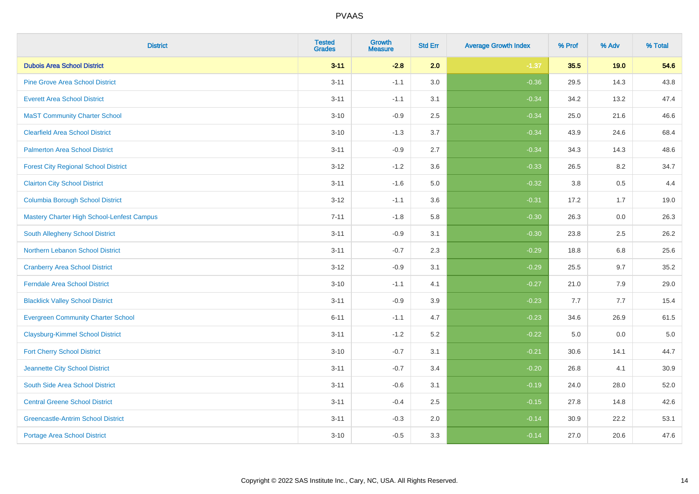| <b>District</b>                             | <b>Tested</b><br><b>Grades</b> | Growth<br><b>Measure</b> | <b>Std Err</b> | <b>Average Growth Index</b> | % Prof | % Adv | % Total |
|---------------------------------------------|--------------------------------|--------------------------|----------------|-----------------------------|--------|-------|---------|
| <b>Dubois Area School District</b>          | $3 - 11$                       | $-2.8$                   | 2.0            | $-1.37$                     | 35.5   | 19.0  | 54.6    |
| <b>Pine Grove Area School District</b>      | $3 - 11$                       | $-1.1$                   | 3.0            | $-0.36$                     | 29.5   | 14.3  | 43.8    |
| <b>Everett Area School District</b>         | $3 - 11$                       | $-1.1$                   | 3.1            | $-0.34$                     | 34.2   | 13.2  | 47.4    |
| <b>MaST Community Charter School</b>        | $3 - 10$                       | $-0.9$                   | 2.5            | $-0.34$                     | 25.0   | 21.6  | 46.6    |
| <b>Clearfield Area School District</b>      | $3 - 10$                       | $-1.3$                   | 3.7            | $-0.34$                     | 43.9   | 24.6  | 68.4    |
| <b>Palmerton Area School District</b>       | $3 - 11$                       | $-0.9$                   | 2.7            | $-0.34$                     | 34.3   | 14.3  | 48.6    |
| <b>Forest City Regional School District</b> | $3 - 12$                       | $-1.2$                   | 3.6            | $-0.33$                     | 26.5   | 8.2   | 34.7    |
| <b>Clairton City School District</b>        | $3 - 11$                       | $-1.6$                   | 5.0            | $-0.32$                     | 3.8    | 0.5   | 4.4     |
| <b>Columbia Borough School District</b>     | $3 - 12$                       | $-1.1$                   | 3.6            | $-0.31$                     | 17.2   | 1.7   | 19.0    |
| Mastery Charter High School-Lenfest Campus  | $7 - 11$                       | $-1.8$                   | 5.8            | $-0.30$                     | 26.3   | 0.0   | 26.3    |
| <b>South Allegheny School District</b>      | $3 - 11$                       | $-0.9$                   | 3.1            | $-0.30$                     | 23.8   | 2.5   | 26.2    |
| Northern Lebanon School District            | $3 - 11$                       | $-0.7$                   | 2.3            | $-0.29$                     | 18.8   | 6.8   | 25.6    |
| <b>Cranberry Area School District</b>       | $3 - 12$                       | $-0.9$                   | 3.1            | $-0.29$                     | 25.5   | 9.7   | 35.2    |
| <b>Ferndale Area School District</b>        | $3 - 10$                       | $-1.1$                   | 4.1            | $-0.27$                     | 21.0   | 7.9   | 29.0    |
| <b>Blacklick Valley School District</b>     | $3 - 11$                       | $-0.9$                   | 3.9            | $-0.23$                     | 7.7    | 7.7   | 15.4    |
| <b>Evergreen Community Charter School</b>   | $6 - 11$                       | $-1.1$                   | 4.7            | $-0.23$                     | 34.6   | 26.9  | 61.5    |
| <b>Claysburg-Kimmel School District</b>     | $3 - 11$                       | $-1.2$                   | 5.2            | $-0.22$                     | 5.0    | 0.0   | $5.0$   |
| <b>Fort Cherry School District</b>          | $3 - 10$                       | $-0.7$                   | 3.1            | $-0.21$                     | 30.6   | 14.1  | 44.7    |
| Jeannette City School District              | $3 - 11$                       | $-0.7$                   | 3.4            | $-0.20$                     | 26.8   | 4.1   | 30.9    |
| South Side Area School District             | $3 - 11$                       | $-0.6$                   | 3.1            | $-0.19$                     | 24.0   | 28.0  | 52.0    |
| <b>Central Greene School District</b>       | $3 - 11$                       | $-0.4$                   | 2.5            | $-0.15$                     | 27.8   | 14.8  | 42.6    |
| <b>Greencastle-Antrim School District</b>   | $3 - 11$                       | $-0.3$                   | 2.0            | $-0.14$                     | 30.9   | 22.2  | 53.1    |
| <b>Portage Area School District</b>         | $3 - 10$                       | $-0.5$                   | 3.3            | $-0.14$                     | 27.0   | 20.6  | 47.6    |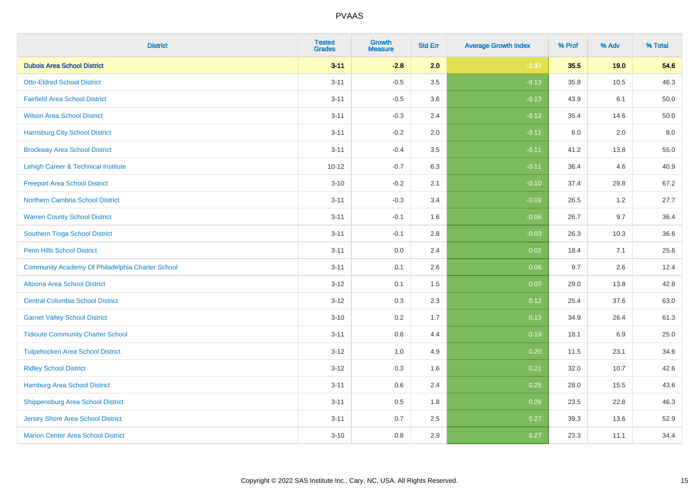| <b>District</b>                                  | <b>Tested</b><br><b>Grades</b> | <b>Growth</b><br><b>Measure</b> | <b>Std Err</b> | <b>Average Growth Index</b> | % Prof | % Adv   | % Total |
|--------------------------------------------------|--------------------------------|---------------------------------|----------------|-----------------------------|--------|---------|---------|
| <b>Dubois Area School District</b>               | $3 - 11$                       | $-2.8$                          | 2.0            | $-1.37$                     | 35.5   | 19.0    | 54.6    |
| <b>Otto-Eldred School District</b>               | $3 - 11$                       | $-0.5$                          | 3.5            | $-0.13$                     | 35.8   | 10.5    | 46.3    |
| <b>Fairfield Area School District</b>            | $3 - 11$                       | $-0.5$                          | 3.6            | $-0.13$                     | 43.9   | 6.1     | 50.0    |
| <b>Wilson Area School District</b>               | $3 - 11$                       | $-0.3$                          | 2.4            | $-0.12$                     | 35.4   | 14.6    | 50.0    |
| <b>Harrisburg City School District</b>           | $3 - 11$                       | $-0.2$                          | 2.0            | $-0.11$                     | 6.0    | 2.0     | 8.0     |
| <b>Brockway Area School District</b>             | $3 - 11$                       | $-0.4$                          | 3.5            | $-0.11$                     | 41.2   | 13.8    | 55.0    |
| Lehigh Career & Technical Institute              | $10 - 12$                      | $-0.7$                          | 6.3            | $-0.11$                     | 36.4   | 4.6     | 40.9    |
| <b>Freeport Area School District</b>             | $3 - 10$                       | $-0.2$                          | 2.1            | $-0.10$                     | 37.4   | 29.8    | 67.2    |
| <b>Northern Cambria School District</b>          | $3 - 11$                       | $-0.3$                          | 3.4            | $-0.09$                     | 26.5   | 1.2     | 27.7    |
| <b>Warren County School District</b>             | $3 - 11$                       | $-0.1$                          | 1.6            | $-0.06$                     | 26.7   | 9.7     | 36.4    |
| Southern Tioga School District                   | $3 - 11$                       | $-0.1$                          | 2.8            | $-0.03$                     | 26.3   | 10.3    | 36.6    |
| <b>Penn Hills School District</b>                | $3 - 11$                       | 0.0                             | 2.4            | 0.02                        | 18.4   | 7.1     | 25.6    |
| Community Academy Of Philadelphia Charter School | $3 - 11$                       | 0.1                             | 2.6            | 0.06                        | 9.7    | $2.6\,$ | 12.4    |
| Altoona Area School District                     | $3 - 12$                       | 0.1                             | 1.5            | 0.07                        | 29.0   | 13.8    | 42.8    |
| <b>Central Columbia School District</b>          | $3 - 12$                       | 0.3                             | 2.3            | 0.12                        | 25.4   | 37.6    | 63.0    |
| <b>Garnet Valley School District</b>             | $3 - 10$                       | 0.2                             | 1.7            | 0.13                        | 34.9   | 26.4    | 61.3    |
| <b>Tidioute Community Charter School</b>         | $3 - 11$                       | 0.8                             | 4.4            | 0.19                        | 18.1   | 6.9     | 25.0    |
| <b>Tulpehocken Area School District</b>          | $3 - 12$                       | 1.0                             | 4.9            | 0.20                        | 11.5   | 23.1    | 34.6    |
| <b>Ridley School District</b>                    | $3 - 12$                       | 0.3                             | 1.6            | 0.21                        | 32.0   | 10.7    | 42.6    |
| Hamburg Area School District                     | $3 - 11$                       | $0.6\,$                         | 2.4            | 0.25                        | 28.0   | 15.5    | 43.6    |
| <b>Shippensburg Area School District</b>         | $3 - 11$                       | 0.5                             | 1.8            | 0.26                        | 23.5   | 22.8    | 46.3    |
| <b>Jersey Shore Area School District</b>         | $3 - 11$                       | 0.7                             | 2.5            | 0.27                        | 39.3   | 13.6    | 52.9    |
| <b>Marion Center Area School District</b>        | $3 - 10$                       | 0.8                             | 2.9            | 0.27                        | 23.3   | 11.1    | 34.4    |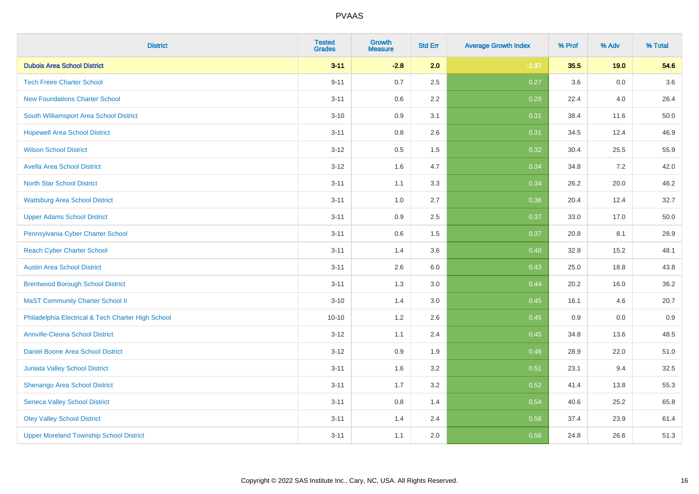| <b>District</b>                                    | <b>Tested</b><br><b>Grades</b> | <b>Growth</b><br><b>Measure</b> | <b>Std Err</b> | <b>Average Growth Index</b> | % Prof | % Adv   | % Total |
|----------------------------------------------------|--------------------------------|---------------------------------|----------------|-----------------------------|--------|---------|---------|
| <b>Dubois Area School District</b>                 | $3 - 11$                       | $-2.8$                          | 2.0            | $-1.37$                     | 35.5   | 19.0    | 54.6    |
| <b>Tech Freire Charter School</b>                  | $9 - 11$                       | 0.7                             | 2.5            | 0.27                        | 3.6    | 0.0     | 3.6     |
| <b>New Foundations Charter School</b>              | $3 - 11$                       | 0.6                             | 2.2            | 0.29                        | 22.4   | 4.0     | 26.4    |
| South Williamsport Area School District            | $3 - 10$                       | 0.9                             | 3.1            | 0.31                        | 38.4   | 11.6    | 50.0    |
| <b>Hopewell Area School District</b>               | $3 - 11$                       | 0.8                             | 2.6            | 0.31                        | 34.5   | 12.4    | 46.9    |
| <b>Wilson School District</b>                      | $3-12$                         | 0.5                             | 1.5            | 0.32                        | 30.4   | 25.5    | 55.9    |
| <b>Avella Area School District</b>                 | $3 - 12$                       | 1.6                             | 4.7            | 0.34                        | 34.8   | $7.2\,$ | 42.0    |
| <b>North Star School District</b>                  | $3 - 11$                       | 1.1                             | 3.3            | 0.34                        | 26.2   | 20.0    | 46.2    |
| <b>Wattsburg Area School District</b>              | $3 - 11$                       | 1.0                             | 2.7            | 0.36                        | 20.4   | 12.4    | 32.7    |
| <b>Upper Adams School District</b>                 | $3 - 11$                       | 0.9                             | 2.5            | 0.37                        | 33.0   | 17.0    | 50.0    |
| Pennsylvania Cyber Charter School                  | $3 - 11$                       | 0.6                             | 1.5            | 0.37                        | 20.8   | 8.1     | 28.9    |
| <b>Reach Cyber Charter School</b>                  | $3 - 11$                       | 1.4                             | 3.6            | 0.40                        | 32.9   | 15.2    | 48.1    |
| <b>Austin Area School District</b>                 | $3 - 11$                       | 2.6                             | 6.0            | 0.43                        | 25.0   | 18.8    | 43.8    |
| <b>Brentwood Borough School District</b>           | $3 - 11$                       | 1.3                             | 3.0            | 0.44                        | 20.2   | 16.0    | 36.2    |
| <b>MaST Community Charter School II</b>            | $3 - 10$                       | 1.4                             | 3.0            | 0.45                        | 16.1   | 4.6     | 20.7    |
| Philadelphia Electrical & Tech Charter High School | $10 - 10$                      | 1.2                             | 2.6            | 0.45                        | 0.9    | 0.0     | 0.9     |
| <b>Annville-Cleona School District</b>             | $3-12$                         | 1.1                             | 2.4            | 0.45                        | 34.8   | 13.6    | 48.5    |
| Daniel Boone Area School District                  | $3-12$                         | 0.9                             | 1.9            | 0.46                        | 28.9   | 22.0    | 51.0    |
| <b>Juniata Valley School District</b>              | $3 - 11$                       | 1.6                             | 3.2            | 0.51                        | 23.1   | 9.4     | 32.5    |
| Shenango Area School District                      | $3 - 11$                       | 1.7                             | 3.2            | 0.52                        | 41.4   | 13.8    | 55.3    |
| <b>Seneca Valley School District</b>               | $3 - 11$                       | 0.8                             | 1.4            | 0.54                        | 40.6   | 25.2    | 65.8    |
| <b>Oley Valley School District</b>                 | $3 - 11$                       | 1.4                             | 2.4            | 0.56                        | 37.4   | 23.9    | 61.4    |
| <b>Upper Moreland Township School District</b>     | $3 - 11$                       | 1.1                             | 2.0            | 0.56                        | 24.8   | 26.6    | 51.3    |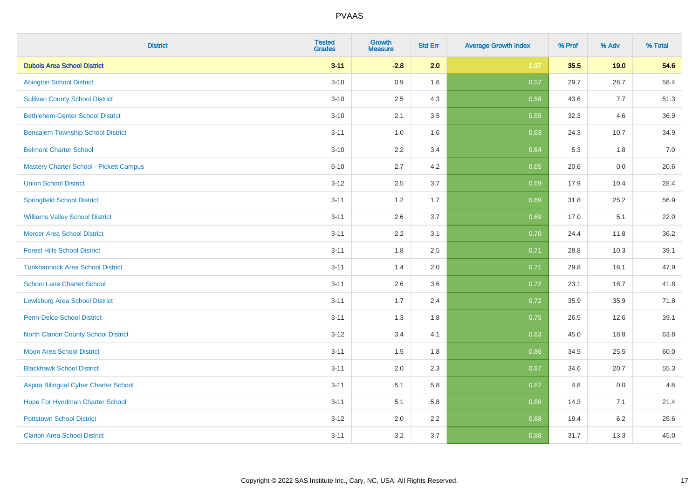| <b>District</b>                             | <b>Tested</b><br><b>Grades</b> | Growth<br><b>Measure</b> | <b>Std Err</b> | <b>Average Growth Index</b> | % Prof | % Adv   | % Total |
|---------------------------------------------|--------------------------------|--------------------------|----------------|-----------------------------|--------|---------|---------|
| <b>Dubois Area School District</b>          | $3 - 11$                       | $-2.8$                   | 2.0            | $-1.37$                     | 35.5   | 19.0    | 54.6    |
| <b>Abington School District</b>             | $3 - 10$                       | 0.9                      | 1.6            | 0.57                        | 29.7   | 28.7    | 58.4    |
| <b>Sullivan County School District</b>      | $3 - 10$                       | 2.5                      | 4.3            | 0.58                        | 43.6   | 7.7     | 51.3    |
| <b>Bethlehem-Center School District</b>     | $3 - 10$                       | 2.1                      | 3.5            | 0.59                        | 32.3   | 4.6     | 36.9    |
| <b>Bensalem Township School District</b>    | $3 - 11$                       | 1.0                      | 1.6            | 0.63                        | 24.3   | 10.7    | 34.9    |
| <b>Belmont Charter School</b>               | $3 - 10$                       | 2.2                      | 3.4            | 0.64                        | 5.3    | 1.8     | 7.0     |
| Mastery Charter School - Pickett Campus     | $6 - 10$                       | 2.7                      | 4.2            | 0.65                        | 20.6   | $0.0\,$ | 20.6    |
| <b>Union School District</b>                | $3 - 12$                       | 2.5                      | 3.7            | 0.69                        | 17.9   | 10.4    | 28.4    |
| <b>Springfield School District</b>          | $3 - 11$                       | 1.2                      | 1.7            | 0.69                        | 31.8   | 25.2    | 56.9    |
| <b>Williams Valley School District</b>      | $3 - 11$                       | 2.6                      | 3.7            | 0.69                        | 17.0   | 5.1     | 22.0    |
| <b>Mercer Area School District</b>          | $3 - 11$                       | 2.2                      | 3.1            | 0.70                        | 24.4   | 11.8    | 36.2    |
| <b>Forest Hills School District</b>         | $3 - 11$                       | 1.8                      | 2.5            | 0.71                        | 28.8   | 10.3    | 39.1    |
| <b>Tunkhannock Area School District</b>     | $3 - 11$                       | 1.4                      | 2.0            | 0.71                        | 29.8   | 18.1    | 47.9    |
| <b>School Lane Charter School</b>           | $3 - 11$                       | 2.6                      | 3.6            | 0.72                        | 23.1   | 18.7    | 41.8    |
| <b>Lewisburg Area School District</b>       | $3 - 11$                       | 1.7                      | 2.4            | 0.72                        | 35.9   | 35.9    | 71.8    |
| <b>Penn-Delco School District</b>           | $3 - 11$                       | 1.3                      | 1.8            | 0.75                        | 26.5   | 12.6    | 39.1    |
| <b>North Clarion County School District</b> | $3 - 12$                       | 3.4                      | 4.1            | 0.83                        | 45.0   | 18.8    | 63.8    |
| <b>Moon Area School District</b>            | $3 - 11$                       | 1.5                      | 1.8            | 0.86                        | 34.5   | 25.5    | 60.0    |
| <b>Blackhawk School District</b>            | $3 - 11$                       | 2.0                      | 2.3            | 0.87                        | 34.6   | 20.7    | 55.3    |
| Aspira Bilingual Cyber Charter School       | $3 - 11$                       | 5.1                      | 5.8            | 0.87                        | 4.8    | 0.0     | 4.8     |
| Hope For Hyndman Charter School             | $3 - 11$                       | 5.1                      | 5.8            | 0.88                        | 14.3   | 7.1     | 21.4    |
| <b>Pottstown School District</b>            | $3 - 12$                       | 2.0                      | 2.2            | 0.88                        | 19.4   | 6.2     | 25.6    |
| <b>Clarion Area School District</b>         | $3 - 11$                       | 3.2                      | 3.7            | 0.88                        | 31.7   | 13.3    | 45.0    |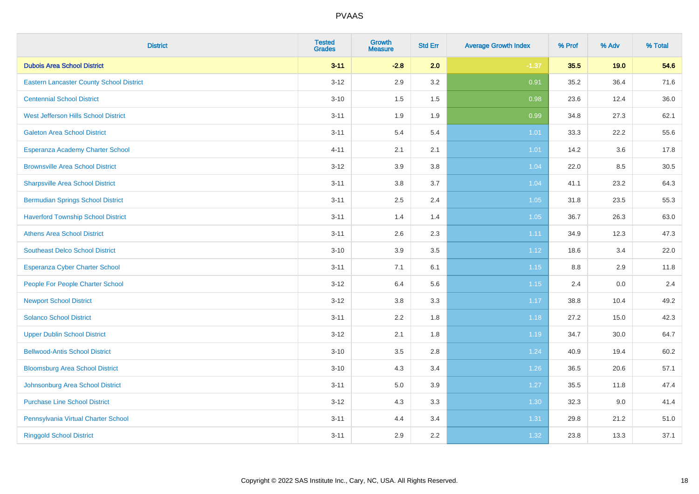| <b>District</b>                                 | <b>Tested</b><br><b>Grades</b> | <b>Growth</b><br><b>Measure</b> | <b>Std Err</b> | <b>Average Growth Index</b> | % Prof  | % Adv | % Total |
|-------------------------------------------------|--------------------------------|---------------------------------|----------------|-----------------------------|---------|-------|---------|
| <b>Dubois Area School District</b>              | $3 - 11$                       | $-2.8$                          | 2.0            | $-1.37$                     | 35.5    | 19.0  | 54.6    |
| <b>Eastern Lancaster County School District</b> | $3 - 12$                       | 2.9                             | 3.2            | 0.91                        | 35.2    | 36.4  | 71.6    |
| <b>Centennial School District</b>               | $3 - 10$                       | 1.5                             | 1.5            | 0.98                        | 23.6    | 12.4  | 36.0    |
| West Jefferson Hills School District            | $3 - 11$                       | 1.9                             | 1.9            | 0.99                        | 34.8    | 27.3  | 62.1    |
| <b>Galeton Area School District</b>             | $3 - 11$                       | 5.4                             | 5.4            | 1.01                        | 33.3    | 22.2  | 55.6    |
| Esperanza Academy Charter School                | $4 - 11$                       | 2.1                             | 2.1            | 1.01                        | 14.2    | 3.6   | 17.8    |
| <b>Brownsville Area School District</b>         | $3 - 12$                       | 3.9                             | 3.8            | 1.04                        | 22.0    | 8.5   | 30.5    |
| <b>Sharpsville Area School District</b>         | $3 - 11$                       | 3.8                             | 3.7            | 1.04                        | 41.1    | 23.2  | 64.3    |
| <b>Bermudian Springs School District</b>        | $3 - 11$                       | 2.5                             | 2.4            | 1.05                        | 31.8    | 23.5  | 55.3    |
| <b>Haverford Township School District</b>       | $3 - 11$                       | 1.4                             | 1.4            | 1.05                        | 36.7    | 26.3  | 63.0    |
| <b>Athens Area School District</b>              | $3 - 11$                       | 2.6                             | 2.3            | 1.11                        | 34.9    | 12.3  | 47.3    |
| <b>Southeast Delco School District</b>          | $3 - 10$                       | 3.9                             | 3.5            | 1.12                        | 18.6    | 3.4   | 22.0    |
| Esperanza Cyber Charter School                  | $3 - 11$                       | 7.1                             | 6.1            | 1.15                        | $8.8\,$ | 2.9   | 11.8    |
| People For People Charter School                | $3 - 12$                       | 6.4                             | 5.6            | 1.15                        | 2.4     | 0.0   | 2.4     |
| <b>Newport School District</b>                  | $3-12$                         | $3.8\,$                         | 3.3            | 1.17                        | 38.8    | 10.4  | 49.2    |
| <b>Solanco School District</b>                  | $3 - 11$                       | 2.2                             | 1.8            | 1.18                        | 27.2    | 15.0  | 42.3    |
| <b>Upper Dublin School District</b>             | $3 - 12$                       | 2.1                             | 1.8            | 1.19                        | 34.7    | 30.0  | 64.7    |
| <b>Bellwood-Antis School District</b>           | $3 - 10$                       | 3.5                             | 2.8            | 1.24                        | 40.9    | 19.4  | 60.2    |
| <b>Bloomsburg Area School District</b>          | $3 - 10$                       | 4.3                             | 3.4            | 1.26                        | 36.5    | 20.6  | 57.1    |
| Johnsonburg Area School District                | $3 - 11$                       | 5.0                             | 3.9            | $1.27$                      | 35.5    | 11.8  | 47.4    |
| <b>Purchase Line School District</b>            | $3 - 12$                       | 4.3                             | 3.3            | 1.30                        | 32.3    | 9.0   | 41.4    |
| Pennsylvania Virtual Charter School             | $3 - 11$                       | 4.4                             | 3.4            | 1.31                        | 29.8    | 21.2  | 51.0    |
| <b>Ringgold School District</b>                 | $3 - 11$                       | 2.9                             | 2.2            | 1.32                        | 23.8    | 13.3  | 37.1    |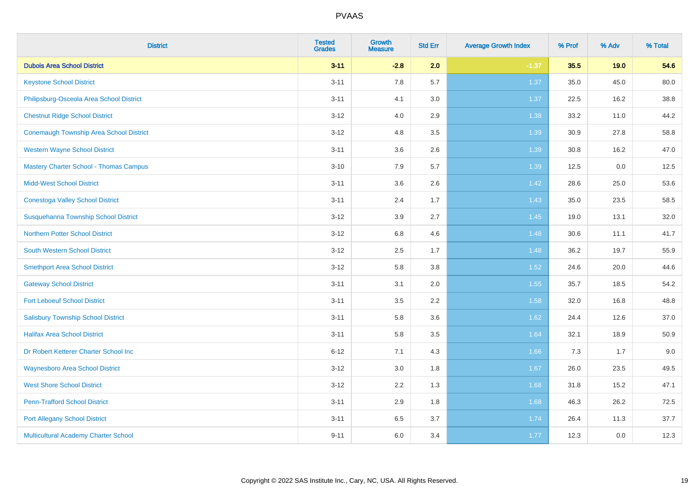| <b>District</b>                               | <b>Tested</b><br><b>Grades</b> | <b>Growth</b><br><b>Measure</b> | <b>Std Err</b> | <b>Average Growth Index</b> | % Prof | % Adv   | % Total |
|-----------------------------------------------|--------------------------------|---------------------------------|----------------|-----------------------------|--------|---------|---------|
| <b>Dubois Area School District</b>            | $3 - 11$                       | $-2.8$                          | 2.0            | $-1.37$                     | 35.5   | 19.0    | 54.6    |
| <b>Keystone School District</b>               | $3 - 11$                       | 7.8                             | 5.7            | 1.37                        | 35.0   | 45.0    | 80.0    |
| Philipsburg-Osceola Area School District      | $3 - 11$                       | 4.1                             | 3.0            | 1.37                        | 22.5   | 16.2    | 38.8    |
| <b>Chestnut Ridge School District</b>         | $3 - 12$                       | 4.0                             | 2.9            | 1.38                        | 33.2   | 11.0    | 44.2    |
| Conemaugh Township Area School District       | $3 - 12$                       | 4.8                             | 3.5            | 1.39                        | 30.9   | 27.8    | 58.8    |
| <b>Western Wayne School District</b>          | $3 - 11$                       | 3.6                             | 2.6            | 1.39                        | 30.8   | 16.2    | 47.0    |
| <b>Mastery Charter School - Thomas Campus</b> | $3 - 10$                       | 7.9                             | 5.7            | 1.39                        | 12.5   | $0.0\,$ | 12.5    |
| <b>Midd-West School District</b>              | $3 - 11$                       | 3.6                             | 2.6            | 1.42                        | 28.6   | 25.0    | 53.6    |
| <b>Conestoga Valley School District</b>       | $3 - 11$                       | 2.4                             | 1.7            | 1.43                        | 35.0   | 23.5    | 58.5    |
| Susquehanna Township School District          | $3 - 12$                       | $3.9\,$                         | 2.7            | $1.45$                      | 19.0   | 13.1    | 32.0    |
| <b>Northern Potter School District</b>        | $3 - 12$                       | 6.8                             | 4.6            | 1.48                        | 30.6   | 11.1    | 41.7    |
| <b>South Western School District</b>          | $3 - 12$                       | 2.5                             | 1.7            | 1.48                        | 36.2   | 19.7    | 55.9    |
| <b>Smethport Area School District</b>         | $3 - 12$                       | 5.8                             | 3.8            | 1.52                        | 24.6   | 20.0    | 44.6    |
| <b>Gateway School District</b>                | $3 - 11$                       | 3.1                             | 2.0            | 1.55                        | 35.7   | 18.5    | 54.2    |
| <b>Fort Leboeuf School District</b>           | $3 - 11$                       | $3.5\,$                         | 2.2            | 1.58                        | 32.0   | 16.8    | 48.8    |
| <b>Salisbury Township School District</b>     | $3 - 11$                       | 5.8                             | 3.6            | 1.62                        | 24.4   | 12.6    | 37.0    |
| <b>Halifax Area School District</b>           | $3 - 11$                       | 5.8                             | 3.5            | 1.64                        | 32.1   | 18.9    | 50.9    |
| Dr Robert Ketterer Charter School Inc         | $6 - 12$                       | 7.1                             | 4.3            | 1.66                        | 7.3    | 1.7     | 9.0     |
| <b>Waynesboro Area School District</b>        | $3 - 12$                       | 3.0                             | 1.8            | 1.67                        | 26.0   | 23.5    | 49.5    |
| <b>West Shore School District</b>             | $3 - 12$                       | 2.2                             | 1.3            | 1.68                        | 31.8   | 15.2    | 47.1    |
| <b>Penn-Trafford School District</b>          | $3 - 11$                       | 2.9                             | 1.8            | 1.68                        | 46.3   | 26.2    | 72.5    |
| <b>Port Allegany School District</b>          | $3 - 11$                       | 6.5                             | 3.7            | 1.74                        | 26.4   | 11.3    | 37.7    |
| <b>Multicultural Academy Charter School</b>   | $9 - 11$                       | 6.0                             | 3.4            | 1.77                        | 12.3   | 0.0     | 12.3    |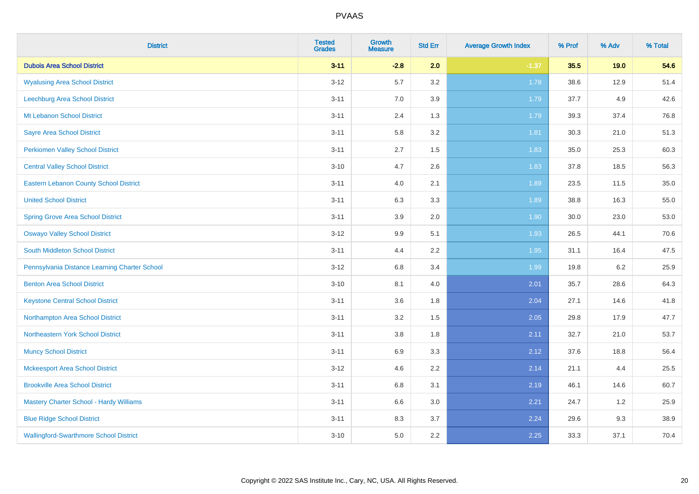| <b>District</b>                               | <b>Tested</b><br><b>Grades</b> | <b>Growth</b><br><b>Measure</b> | <b>Std Err</b> | <b>Average Growth Index</b> | % Prof | % Adv | % Total |
|-----------------------------------------------|--------------------------------|---------------------------------|----------------|-----------------------------|--------|-------|---------|
| <b>Dubois Area School District</b>            | $3 - 11$                       | $-2.8$                          | 2.0            | $-1.37$                     | 35.5   | 19.0  | 54.6    |
| <b>Wyalusing Area School District</b>         | $3 - 12$                       | 5.7                             | 3.2            | 1.78                        | 38.6   | 12.9  | 51.4    |
| Leechburg Area School District                | $3 - 11$                       | 7.0                             | 3.9            | 1.79                        | 37.7   | 4.9   | 42.6    |
| Mt Lebanon School District                    | $3 - 11$                       | 2.4                             | 1.3            | 1.79                        | 39.3   | 37.4  | 76.8    |
| <b>Sayre Area School District</b>             | $3 - 11$                       | 5.8                             | 3.2            | 1.81                        | 30.3   | 21.0  | 51.3    |
| <b>Perkiomen Valley School District</b>       | $3 - 11$                       | 2.7                             | 1.5            | 1.83                        | 35.0   | 25.3  | 60.3    |
| <b>Central Valley School District</b>         | $3 - 10$                       | 4.7                             | 2.6            | 1.83                        | 37.8   | 18.5  | 56.3    |
| <b>Eastern Lebanon County School District</b> | $3 - 11$                       | 4.0                             | 2.1            | 1.89                        | 23.5   | 11.5  | 35.0    |
| <b>United School District</b>                 | $3 - 11$                       | 6.3                             | 3.3            | 1.89                        | 38.8   | 16.3  | 55.0    |
| <b>Spring Grove Area School District</b>      | $3 - 11$                       | $3.9\,$                         | 2.0            | 1.90                        | 30.0   | 23.0  | 53.0    |
| <b>Oswayo Valley School District</b>          | $3 - 12$                       | 9.9                             | 5.1            | 1.93                        | 26.5   | 44.1  | 70.6    |
| <b>South Middleton School District</b>        | $3 - 11$                       | 4.4                             | 2.2            | 1.95                        | 31.1   | 16.4  | 47.5    |
| Pennsylvania Distance Learning Charter School | $3 - 12$                       | $6.8\,$                         | 3.4            | 1.99                        | 19.8   | 6.2   | 25.9    |
| <b>Benton Area School District</b>            | $3 - 10$                       | 8.1                             | 4.0            | 2.01                        | 35.7   | 28.6  | 64.3    |
| <b>Keystone Central School District</b>       | $3 - 11$                       | 3.6                             | 1.8            | 2.04                        | 27.1   | 14.6  | 41.8    |
| Northampton Area School District              | $3 - 11$                       | 3.2                             | 1.5            | 2.05                        | 29.8   | 17.9  | 47.7    |
| Northeastern York School District             | $3 - 11$                       | $3.8\,$                         | 1.8            | 2.11                        | 32.7   | 21.0  | 53.7    |
| <b>Muncy School District</b>                  | $3 - 11$                       | 6.9                             | 3.3            | 2.12                        | 37.6   | 18.8  | 56.4    |
| <b>Mckeesport Area School District</b>        | $3 - 12$                       | 4.6                             | 2.2            | 2.14                        | 21.1   | 4.4   | 25.5    |
| <b>Brookville Area School District</b>        | $3 - 11$                       | 6.8                             | 3.1            | 2.19                        | 46.1   | 14.6  | 60.7    |
| Mastery Charter School - Hardy Williams       | $3 - 11$                       | 6.6                             | 3.0            | 2.21                        | 24.7   | 1.2   | 25.9    |
| <b>Blue Ridge School District</b>             | $3 - 11$                       | 8.3                             | 3.7            | 2.24                        | 29.6   | 9.3   | 38.9    |
| <b>Wallingford-Swarthmore School District</b> | $3 - 10$                       | 5.0                             | 2.2            | 2.25                        | 33.3   | 37.1  | 70.4    |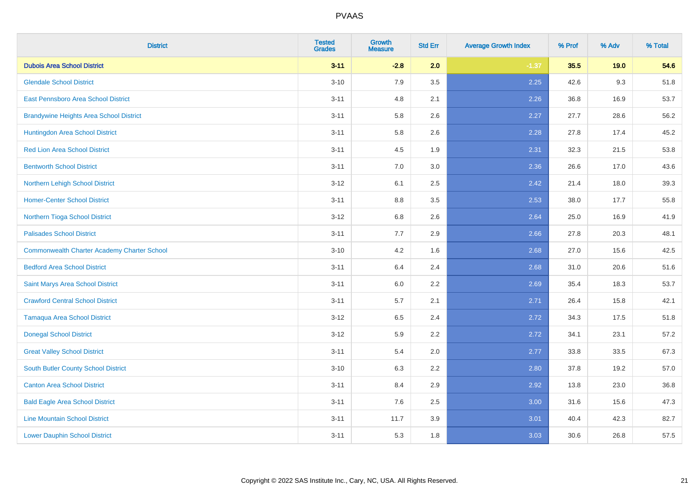| <b>District</b>                                    | <b>Tested</b><br><b>Grades</b> | <b>Growth</b><br><b>Measure</b> | <b>Std Err</b> | <b>Average Growth Index</b> | % Prof | % Adv | % Total |
|----------------------------------------------------|--------------------------------|---------------------------------|----------------|-----------------------------|--------|-------|---------|
| <b>Dubois Area School District</b>                 | $3 - 11$                       | $-2.8$                          | 2.0            | $-1.37$                     | 35.5   | 19.0  | 54.6    |
| <b>Glendale School District</b>                    | $3 - 10$                       | 7.9                             | 3.5            | 2.25                        | 42.6   | 9.3   | 51.8    |
| <b>East Pennsboro Area School District</b>         | $3 - 11$                       | 4.8                             | 2.1            | 2.26                        | 36.8   | 16.9  | 53.7    |
| <b>Brandywine Heights Area School District</b>     | $3 - 11$                       | 5.8                             | 2.6            | 2.27                        | 27.7   | 28.6  | 56.2    |
| Huntingdon Area School District                    | $3 - 11$                       | 5.8                             | 2.6            | 2.28                        | 27.8   | 17.4  | 45.2    |
| <b>Red Lion Area School District</b>               | $3 - 11$                       | 4.5                             | 1.9            | 2.31                        | 32.3   | 21.5  | 53.8    |
| <b>Bentworth School District</b>                   | $3 - 11$                       | 7.0                             | 3.0            | 2.36                        | 26.6   | 17.0  | 43.6    |
| Northern Lehigh School District                    | $3 - 12$                       | 6.1                             | 2.5            | 2.42                        | 21.4   | 18.0  | 39.3    |
| <b>Homer-Center School District</b>                | $3 - 11$                       | 8.8                             | 3.5            | 2.53                        | 38.0   | 17.7  | 55.8    |
| Northern Tioga School District                     | $3 - 12$                       | 6.8                             | 2.6            | 2.64                        | 25.0   | 16.9  | 41.9    |
| <b>Palisades School District</b>                   | $3 - 11$                       | 7.7                             | 2.9            | 2.66                        | 27.8   | 20.3  | 48.1    |
| <b>Commonwealth Charter Academy Charter School</b> | $3 - 10$                       | 4.2                             | 1.6            | 2.68                        | 27.0   | 15.6  | 42.5    |
| <b>Bedford Area School District</b>                | $3 - 11$                       | 6.4                             | 2.4            | 2.68                        | 31.0   | 20.6  | 51.6    |
| Saint Marys Area School District                   | $3 - 11$                       | 6.0                             | 2.2            | 2.69                        | 35.4   | 18.3  | 53.7    |
| <b>Crawford Central School District</b>            | $3 - 11$                       | 5.7                             | 2.1            | 2.71                        | 26.4   | 15.8  | 42.1    |
| <b>Tamaqua Area School District</b>                | $3-12$                         | 6.5                             | 2.4            | 2.72                        | 34.3   | 17.5  | 51.8    |
| <b>Donegal School District</b>                     | $3-12$                         | 5.9                             | 2.2            | 2.72                        | 34.1   | 23.1  | 57.2    |
| <b>Great Valley School District</b>                | $3 - 11$                       | 5.4                             | 2.0            | 2.77                        | 33.8   | 33.5  | 67.3    |
| <b>South Butler County School District</b>         | $3 - 10$                       | 6.3                             | 2.2            | 2.80                        | 37.8   | 19.2  | 57.0    |
| <b>Canton Area School District</b>                 | $3 - 11$                       | 8.4                             | 2.9            | 2.92                        | 13.8   | 23.0  | 36.8    |
| <b>Bald Eagle Area School District</b>             | $3 - 11$                       | 7.6                             | 2.5            | 3.00                        | 31.6   | 15.6  | 47.3    |
| <b>Line Mountain School District</b>               | $3 - 11$                       | 11.7                            | 3.9            | 3.01                        | 40.4   | 42.3  | 82.7    |
| <b>Lower Dauphin School District</b>               | $3 - 11$                       | 5.3                             | 1.8            | 3.03                        | 30.6   | 26.8  | 57.5    |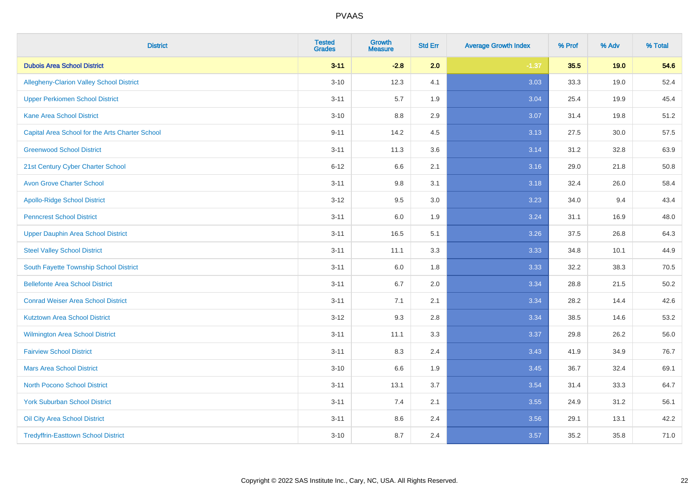| <b>District</b>                                 | <b>Tested</b><br><b>Grades</b> | <b>Growth</b><br><b>Measure</b> | <b>Std Err</b> | <b>Average Growth Index</b> | % Prof | % Adv | % Total |
|-------------------------------------------------|--------------------------------|---------------------------------|----------------|-----------------------------|--------|-------|---------|
| <b>Dubois Area School District</b>              | $3 - 11$                       | $-2.8$                          | 2.0            | $-1.37$                     | 35.5   | 19.0  | 54.6    |
| <b>Allegheny-Clarion Valley School District</b> | $3 - 10$                       | 12.3                            | 4.1            | 3.03                        | 33.3   | 19.0  | 52.4    |
| <b>Upper Perkiomen School District</b>          | $3 - 11$                       | 5.7                             | 1.9            | 3.04                        | 25.4   | 19.9  | 45.4    |
| <b>Kane Area School District</b>                | $3 - 10$                       | 8.8                             | 2.9            | 3.07                        | 31.4   | 19.8  | 51.2    |
| Capital Area School for the Arts Charter School | $9 - 11$                       | 14.2                            | 4.5            | 3.13                        | 27.5   | 30.0  | 57.5    |
| <b>Greenwood School District</b>                | $3 - 11$                       | 11.3                            | 3.6            | 3.14                        | 31.2   | 32.8  | 63.9    |
| 21st Century Cyber Charter School               | $6 - 12$                       | 6.6                             | 2.1            | 3.16                        | 29.0   | 21.8  | 50.8    |
| <b>Avon Grove Charter School</b>                | $3 - 11$                       | 9.8                             | 3.1            | 3.18                        | 32.4   | 26.0  | 58.4    |
| <b>Apollo-Ridge School District</b>             | $3 - 12$                       | 9.5                             | 3.0            | 3.23                        | 34.0   | 9.4   | 43.4    |
| <b>Penncrest School District</b>                | $3 - 11$                       | 6.0                             | 1.9            | 3.24                        | 31.1   | 16.9  | 48.0    |
| <b>Upper Dauphin Area School District</b>       | $3 - 11$                       | 16.5                            | 5.1            | 3.26                        | 37.5   | 26.8  | 64.3    |
| <b>Steel Valley School District</b>             | $3 - 11$                       | 11.1                            | 3.3            | 3.33                        | 34.8   | 10.1  | 44.9    |
| South Fayette Township School District          | $3 - 11$                       | 6.0                             | 1.8            | 3.33                        | 32.2   | 38.3  | 70.5    |
| <b>Bellefonte Area School District</b>          | $3 - 11$                       | 6.7                             | 2.0            | 3.34                        | 28.8   | 21.5  | 50.2    |
| <b>Conrad Weiser Area School District</b>       | $3 - 11$                       | 7.1                             | 2.1            | 3.34                        | 28.2   | 14.4  | 42.6    |
| <b>Kutztown Area School District</b>            | $3 - 12$                       | 9.3                             | 2.8            | 3.34                        | 38.5   | 14.6  | 53.2    |
| Wilmington Area School District                 | $3 - 11$                       | 11.1                            | 3.3            | 3.37                        | 29.8   | 26.2  | 56.0    |
| <b>Fairview School District</b>                 | $3 - 11$                       | 8.3                             | 2.4            | 3.43                        | 41.9   | 34.9  | 76.7    |
| <b>Mars Area School District</b>                | $3 - 10$                       | 6.6                             | 1.9            | 3.45                        | 36.7   | 32.4  | 69.1    |
| <b>North Pocono School District</b>             | $3 - 11$                       | 13.1                            | 3.7            | 3.54                        | 31.4   | 33.3  | 64.7    |
| <b>York Suburban School District</b>            | $3 - 11$                       | 7.4                             | 2.1            | 3.55                        | 24.9   | 31.2  | 56.1    |
| Oil City Area School District                   | $3 - 11$                       | 8.6                             | 2.4            | 3.56                        | 29.1   | 13.1  | 42.2    |
| <b>Tredyffrin-Easttown School District</b>      | $3 - 10$                       | 8.7                             | 2.4            | 3.57                        | 35.2   | 35.8  | 71.0    |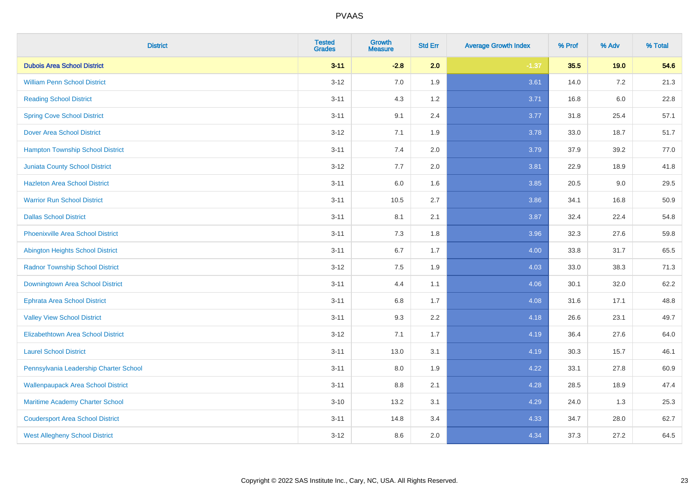| <b>District</b>                           | <b>Tested</b><br><b>Grades</b> | <b>Growth</b><br><b>Measure</b> | <b>Std Err</b> | <b>Average Growth Index</b> | % Prof | % Adv   | % Total |
|-------------------------------------------|--------------------------------|---------------------------------|----------------|-----------------------------|--------|---------|---------|
| <b>Dubois Area School District</b>        | $3 - 11$                       | $-2.8$                          | 2.0            | $-1.37$                     | 35.5   | 19.0    | 54.6    |
| <b>William Penn School District</b>       | $3 - 12$                       | 7.0                             | 1.9            | 3.61                        | 14.0   | $7.2\,$ | 21.3    |
| <b>Reading School District</b>            | $3 - 11$                       | 4.3                             | 1.2            | 3.71                        | 16.8   | $6.0\,$ | 22.8    |
| <b>Spring Cove School District</b>        | $3 - 11$                       | 9.1                             | 2.4            | 3.77                        | 31.8   | 25.4    | 57.1    |
| <b>Dover Area School District</b>         | $3 - 12$                       | 7.1                             | 1.9            | 3.78                        | 33.0   | 18.7    | 51.7    |
| <b>Hampton Township School District</b>   | $3 - 11$                       | 7.4                             | 2.0            | 3.79                        | 37.9   | 39.2    | 77.0    |
| <b>Juniata County School District</b>     | $3-12$                         | 7.7                             | 2.0            | 3.81                        | 22.9   | 18.9    | 41.8    |
| <b>Hazleton Area School District</b>      | $3 - 11$                       | 6.0                             | 1.6            | 3.85                        | 20.5   | 9.0     | 29.5    |
| <b>Warrior Run School District</b>        | $3 - 11$                       | 10.5                            | 2.7            | 3.86                        | 34.1   | 16.8    | 50.9    |
| <b>Dallas School District</b>             | $3 - 11$                       | 8.1                             | 2.1            | 3.87                        | 32.4   | 22.4    | 54.8    |
| <b>Phoenixville Area School District</b>  | $3 - 11$                       | 7.3                             | 1.8            | 3.96                        | 32.3   | 27.6    | 59.8    |
| Abington Heights School District          | $3 - 11$                       | 6.7                             | 1.7            | 4.00                        | 33.8   | 31.7    | 65.5    |
| <b>Radnor Township School District</b>    | $3 - 12$                       | $7.5\,$                         | 1.9            | 4.03                        | 33.0   | 38.3    | 71.3    |
| Downingtown Area School District          | $3 - 11$                       | 4.4                             | 1.1            | 4.06                        | 30.1   | 32.0    | 62.2    |
| <b>Ephrata Area School District</b>       | $3 - 11$                       | 6.8                             | 1.7            | 4.08                        | 31.6   | 17.1    | 48.8    |
| <b>Valley View School District</b>        | $3 - 11$                       | 9.3                             | 2.2            | 4.18                        | 26.6   | 23.1    | 49.7    |
| <b>Elizabethtown Area School District</b> | $3-12$                         | 7.1                             | 1.7            | 4.19                        | 36.4   | 27.6    | 64.0    |
| <b>Laurel School District</b>             | $3 - 11$                       | 13.0                            | 3.1            | 4.19                        | 30.3   | 15.7    | 46.1    |
| Pennsylvania Leadership Charter School    | $3 - 11$                       | 8.0                             | 1.9            | 4.22                        | 33.1   | 27.8    | 60.9    |
| <b>Wallenpaupack Area School District</b> | $3 - 11$                       | 8.8                             | 2.1            | 4.28                        | 28.5   | 18.9    | 47.4    |
| Maritime Academy Charter School           | $3 - 10$                       | 13.2                            | 3.1            | 4.29                        | 24.0   | 1.3     | 25.3    |
| <b>Coudersport Area School District</b>   | $3 - 11$                       | 14.8                            | 3.4            | 4.33                        | 34.7   | 28.0    | 62.7    |
| <b>West Allegheny School District</b>     | $3-12$                         | 8.6                             | 2.0            | 4.34                        | 37.3   | 27.2    | 64.5    |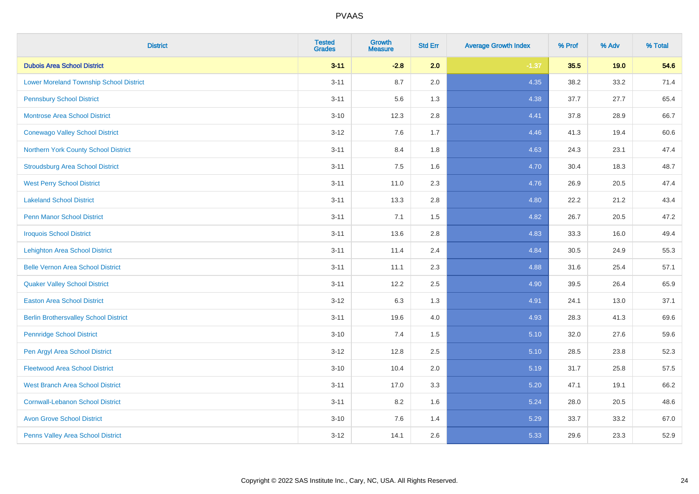| <b>District</b>                                | <b>Tested</b><br><b>Grades</b> | <b>Growth</b><br><b>Measure</b> | <b>Std Err</b> | <b>Average Growth Index</b> | % Prof | % Adv | % Total |
|------------------------------------------------|--------------------------------|---------------------------------|----------------|-----------------------------|--------|-------|---------|
| <b>Dubois Area School District</b>             | $3 - 11$                       | $-2.8$                          | 2.0            | $-1.37$                     | 35.5   | 19.0  | 54.6    |
| <b>Lower Moreland Township School District</b> | $3 - 11$                       | 8.7                             | 2.0            | 4.35                        | 38.2   | 33.2  | 71.4    |
| <b>Pennsbury School District</b>               | $3 - 11$                       | 5.6                             | 1.3            | 4.38                        | 37.7   | 27.7  | 65.4    |
| <b>Montrose Area School District</b>           | $3 - 10$                       | 12.3                            | 2.8            | 4.41                        | 37.8   | 28.9  | 66.7    |
| <b>Conewago Valley School District</b>         | $3 - 12$                       | 7.6                             | 1.7            | 4.46                        | 41.3   | 19.4  | 60.6    |
| Northern York County School District           | $3 - 11$                       | 8.4                             | 1.8            | 4.63                        | 24.3   | 23.1  | 47.4    |
| <b>Stroudsburg Area School District</b>        | $3 - 11$                       | 7.5                             | 1.6            | 4.70                        | 30.4   | 18.3  | 48.7    |
| <b>West Perry School District</b>              | $3 - 11$                       | 11.0                            | 2.3            | 4.76                        | 26.9   | 20.5  | 47.4    |
| <b>Lakeland School District</b>                | $3 - 11$                       | 13.3                            | 2.8            | 4.80                        | 22.2   | 21.2  | 43.4    |
| <b>Penn Manor School District</b>              | $3 - 11$                       | 7.1                             | 1.5            | 4.82                        | 26.7   | 20.5  | 47.2    |
| <b>Iroquois School District</b>                | $3 - 11$                       | 13.6                            | 2.8            | 4.83                        | 33.3   | 16.0  | 49.4    |
| <b>Lehighton Area School District</b>          | $3 - 11$                       | 11.4                            | 2.4            | 4.84                        | 30.5   | 24.9  | 55.3    |
| <b>Belle Vernon Area School District</b>       | $3 - 11$                       | 11.1                            | 2.3            | 4.88                        | 31.6   | 25.4  | 57.1    |
| <b>Quaker Valley School District</b>           | $3 - 11$                       | 12.2                            | 2.5            | 4.90                        | 39.5   | 26.4  | 65.9    |
| <b>Easton Area School District</b>             | $3 - 12$                       | 6.3                             | 1.3            | 4.91                        | 24.1   | 13.0  | 37.1    |
| <b>Berlin Brothersvalley School District</b>   | $3 - 11$                       | 19.6                            | 4.0            | 4.93                        | 28.3   | 41.3  | 69.6    |
| <b>Pennridge School District</b>               | $3 - 10$                       | 7.4                             | 1.5            | 5.10                        | 32.0   | 27.6  | 59.6    |
| Pen Argyl Area School District                 | $3 - 12$                       | 12.8                            | 2.5            | 5.10                        | 28.5   | 23.8  | 52.3    |
| <b>Fleetwood Area School District</b>          | $3 - 10$                       | 10.4                            | 2.0            | 5.19                        | 31.7   | 25.8  | 57.5    |
| <b>West Branch Area School District</b>        | $3 - 11$                       | 17.0                            | 3.3            | 5.20                        | 47.1   | 19.1  | 66.2    |
| <b>Cornwall-Lebanon School District</b>        | $3 - 11$                       | 8.2                             | 1.6            | 5.24                        | 28.0   | 20.5  | 48.6    |
| <b>Avon Grove School District</b>              | $3 - 10$                       | 7.6                             | 1.4            | 5.29                        | 33.7   | 33.2  | 67.0    |
| Penns Valley Area School District              | $3 - 12$                       | 14.1                            | 2.6            | 5.33                        | 29.6   | 23.3  | 52.9    |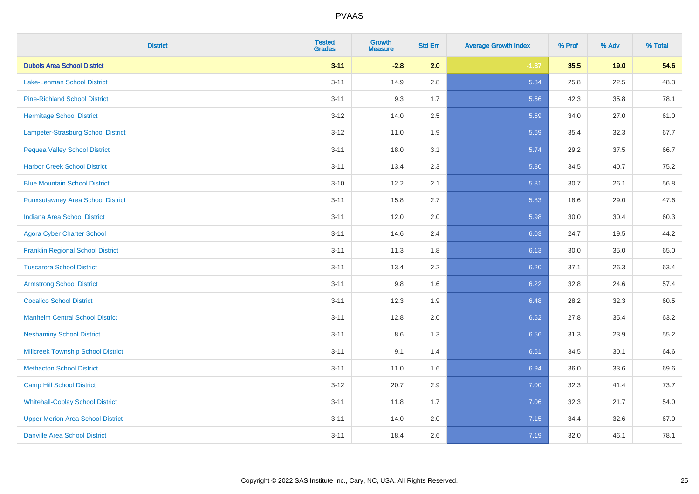| <b>District</b>                           | <b>Tested</b><br><b>Grades</b> | <b>Growth</b><br><b>Measure</b> | <b>Std Err</b> | <b>Average Growth Index</b> | % Prof | % Adv | % Total |
|-------------------------------------------|--------------------------------|---------------------------------|----------------|-----------------------------|--------|-------|---------|
| <b>Dubois Area School District</b>        | $3 - 11$                       | $-2.8$                          | 2.0            | $-1.37$                     | 35.5   | 19.0  | 54.6    |
| Lake-Lehman School District               | $3 - 11$                       | 14.9                            | 2.8            | 5.34                        | 25.8   | 22.5  | 48.3    |
| <b>Pine-Richland School District</b>      | $3 - 11$                       | 9.3                             | 1.7            | 5.56                        | 42.3   | 35.8  | 78.1    |
| <b>Hermitage School District</b>          | $3 - 12$                       | 14.0                            | 2.5            | 5.59                        | 34.0   | 27.0  | 61.0    |
| Lampeter-Strasburg School District        | $3 - 12$                       | 11.0                            | 1.9            | 5.69                        | 35.4   | 32.3  | 67.7    |
| <b>Pequea Valley School District</b>      | $3 - 11$                       | 18.0                            | 3.1            | 5.74                        | 29.2   | 37.5  | 66.7    |
| <b>Harbor Creek School District</b>       | $3 - 11$                       | 13.4                            | 2.3            | 5.80                        | 34.5   | 40.7  | 75.2    |
| <b>Blue Mountain School District</b>      | $3 - 10$                       | 12.2                            | 2.1            | 5.81                        | 30.7   | 26.1  | 56.8    |
| <b>Punxsutawney Area School District</b>  | $3 - 11$                       | 15.8                            | 2.7            | 5.83                        | 18.6   | 29.0  | 47.6    |
| <b>Indiana Area School District</b>       | $3 - 11$                       | 12.0                            | 2.0            | 5.98                        | 30.0   | 30.4  | 60.3    |
| <b>Agora Cyber Charter School</b>         | $3 - 11$                       | 14.6                            | 2.4            | 6.03                        | 24.7   | 19.5  | 44.2    |
| <b>Franklin Regional School District</b>  | $3 - 11$                       | 11.3                            | 1.8            | 6.13                        | 30.0   | 35.0  | 65.0    |
| <b>Tuscarora School District</b>          | $3 - 11$                       | 13.4                            | 2.2            | 6.20                        | 37.1   | 26.3  | 63.4    |
| <b>Armstrong School District</b>          | $3 - 11$                       | 9.8                             | 1.6            | 6.22                        | 32.8   | 24.6  | 57.4    |
| <b>Cocalico School District</b>           | $3 - 11$                       | 12.3                            | 1.9            | 6.48                        | 28.2   | 32.3  | 60.5    |
| <b>Manheim Central School District</b>    | $3 - 11$                       | 12.8                            | 2.0            | 6.52                        | 27.8   | 35.4  | 63.2    |
| <b>Neshaminy School District</b>          | $3 - 11$                       | 8.6                             | 1.3            | 6.56                        | 31.3   | 23.9  | 55.2    |
| <b>Millcreek Township School District</b> | $3 - 11$                       | 9.1                             | 1.4            | 6.61                        | 34.5   | 30.1  | 64.6    |
| <b>Methacton School District</b>          | $3 - 11$                       | 11.0                            | 1.6            | 6.94                        | 36.0   | 33.6  | 69.6    |
| <b>Camp Hill School District</b>          | $3 - 12$                       | 20.7                            | 2.9            | 7.00                        | 32.3   | 41.4  | 73.7    |
| <b>Whitehall-Coplay School District</b>   | $3 - 11$                       | 11.8                            | 1.7            | 7.06                        | 32.3   | 21.7  | 54.0    |
| <b>Upper Merion Area School District</b>  | $3 - 11$                       | 14.0                            | 2.0            | 7.15                        | 34.4   | 32.6  | 67.0    |
| <b>Danville Area School District</b>      | $3 - 11$                       | 18.4                            | 2.6            | 7.19                        | 32.0   | 46.1  | 78.1    |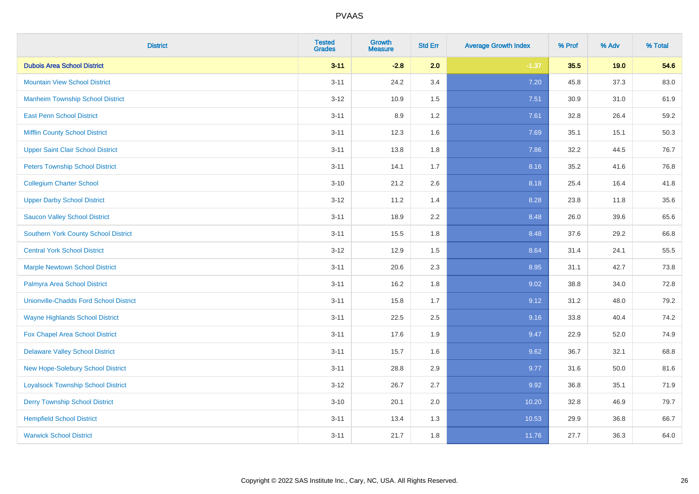| <b>District</b>                               | <b>Tested</b><br><b>Grades</b> | <b>Growth</b><br><b>Measure</b> | <b>Std Err</b> | <b>Average Growth Index</b> | % Prof | % Adv | % Total |
|-----------------------------------------------|--------------------------------|---------------------------------|----------------|-----------------------------|--------|-------|---------|
| <b>Dubois Area School District</b>            | $3 - 11$                       | $-2.8$                          | 2.0            | $-1.37$                     | 35.5   | 19.0  | 54.6    |
| <b>Mountain View School District</b>          | $3 - 11$                       | 24.2                            | 3.4            | 7.20                        | 45.8   | 37.3  | 83.0    |
| <b>Manheim Township School District</b>       | $3 - 12$                       | 10.9                            | 1.5            | 7.51                        | 30.9   | 31.0  | 61.9    |
| <b>East Penn School District</b>              | $3 - 11$                       | 8.9                             | 1.2            | 7.61                        | 32.8   | 26.4  | 59.2    |
| <b>Mifflin County School District</b>         | $3 - 11$                       | 12.3                            | 1.6            | 7.69                        | 35.1   | 15.1  | 50.3    |
| <b>Upper Saint Clair School District</b>      | $3 - 11$                       | 13.8                            | 1.8            | 7.86                        | 32.2   | 44.5  | 76.7    |
| <b>Peters Township School District</b>        | $3 - 11$                       | 14.1                            | 1.7            | 8.16                        | 35.2   | 41.6  | 76.8    |
| <b>Collegium Charter School</b>               | $3 - 10$                       | 21.2                            | 2.6            | 8.18                        | 25.4   | 16.4  | 41.8    |
| <b>Upper Darby School District</b>            | $3-12$                         | 11.2                            | 1.4            | 8.28                        | 23.8   | 11.8  | 35.6    |
| <b>Saucon Valley School District</b>          | $3 - 11$                       | 18.9                            | 2.2            | 8.48                        | 26.0   | 39.6  | 65.6    |
| <b>Southern York County School District</b>   | $3 - 11$                       | 15.5                            | 1.8            | 8.48                        | 37.6   | 29.2  | 66.8    |
| <b>Central York School District</b>           | $3 - 12$                       | 12.9                            | 1.5            | 8.64                        | 31.4   | 24.1  | 55.5    |
| <b>Marple Newtown School District</b>         | $3 - 11$                       | 20.6                            | 2.3            | 8.95                        | 31.1   | 42.7  | 73.8    |
| Palmyra Area School District                  | $3 - 11$                       | 16.2                            | 1.8            | 9.02                        | 38.8   | 34.0  | 72.8    |
| <b>Unionville-Chadds Ford School District</b> | $3 - 11$                       | 15.8                            | 1.7            | 9.12                        | 31.2   | 48.0  | 79.2    |
| <b>Wayne Highlands School District</b>        | $3 - 11$                       | 22.5                            | 2.5            | 9.16                        | 33.8   | 40.4  | 74.2    |
| Fox Chapel Area School District               | $3 - 11$                       | 17.6                            | 1.9            | 9.47                        | 22.9   | 52.0  | 74.9    |
| <b>Delaware Valley School District</b>        | $3 - 11$                       | 15.7                            | 1.6            | 9.62                        | 36.7   | 32.1  | 68.8    |
| New Hope-Solebury School District             | $3 - 11$                       | 28.8                            | 2.9            | 9.77                        | 31.6   | 50.0  | 81.6    |
| <b>Loyalsock Township School District</b>     | $3-12$                         | 26.7                            | 2.7            | 9.92                        | 36.8   | 35.1  | 71.9    |
| <b>Derry Township School District</b>         | $3 - 10$                       | 20.1                            | 2.0            | 10.20                       | 32.8   | 46.9  | 79.7    |
| <b>Hempfield School District</b>              | $3 - 11$                       | 13.4                            | 1.3            | 10.53                       | 29.9   | 36.8  | 66.7    |
| <b>Warwick School District</b>                | $3 - 11$                       | 21.7                            | 1.8            | 11.76                       | 27.7   | 36.3  | 64.0    |